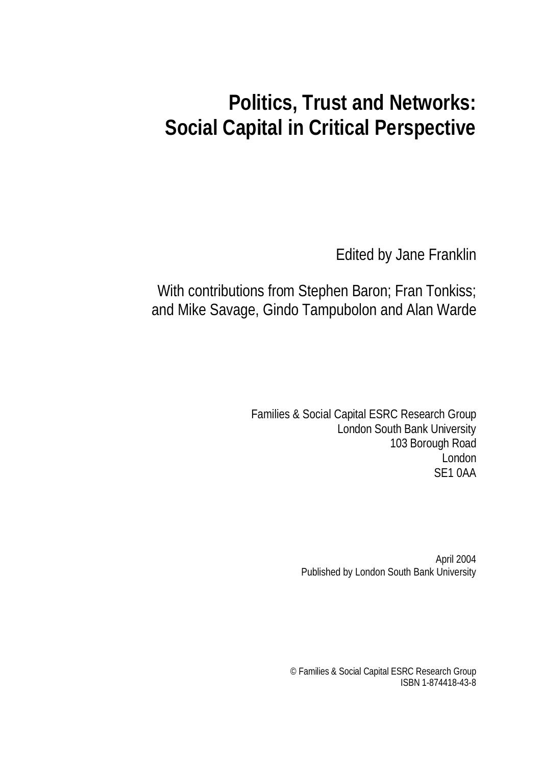# **Politics, Trust and Networks: Social Capital in Critical Perspective**

Edited by Jane Franklin

With contributions from Stephen Baron; Fran Tonkiss; and Mike Savage, Gindo Tampubolon and Alan Warde

> Families & Social Capital ESRC Research Group London South Bank University 103 Borough Road London SE1 0AA

> > April 2004 Published by London South Bank University

© Families & Social Capital ESRC Research Group ISBN 1-874418-43-8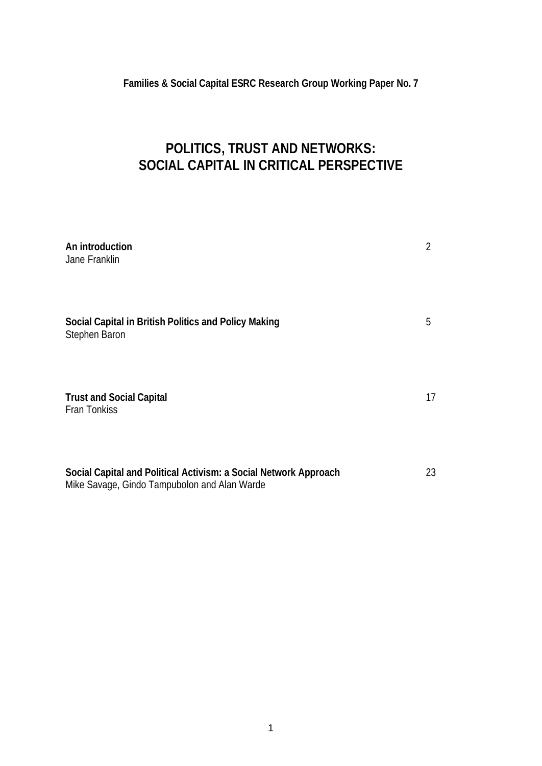**Families & Social Capital ESRC Research Group Working Paper No. 7**

# **POLITICS, TRUST AND NETWORKS: SOCIAL CAPITAL IN CRITICAL PERSPECTIVE**

| An introduction<br>Jane Franklin                                                                                 | 2  |
|------------------------------------------------------------------------------------------------------------------|----|
| Social Capital in British Politics and Policy Making<br>Stephen Baron                                            | 5  |
| <b>Trust and Social Capital</b><br><b>Fran Tonkiss</b>                                                           | 17 |
| Social Capital and Political Activism: a Social Network Approach<br>Mike Savage, Gindo Tampubolon and Alan Warde | 23 |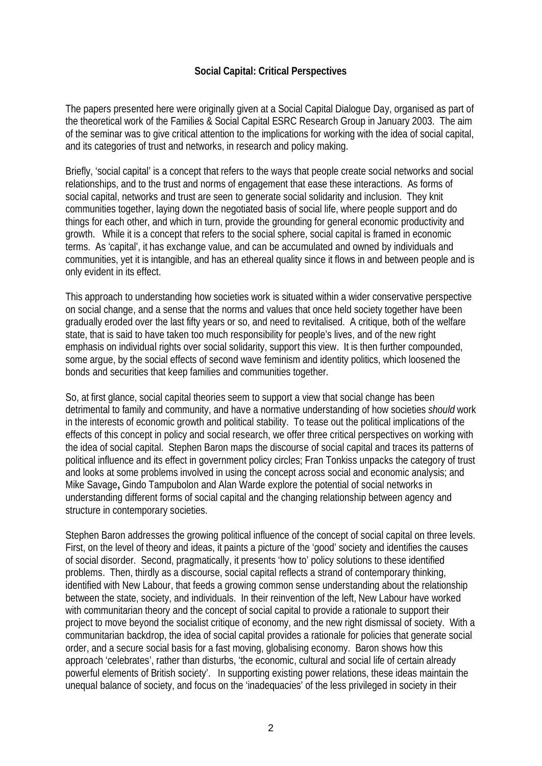#### **Social Capital: Critical Perspectives**

The papers presented here were originally given at a Social Capital Dialogue Day, organised as part of the theoretical work of the Families & Social Capital ESRC Research Group in January 2003. The aim of the seminar was to give critical attention to the implications for working with the idea of social capital, and its categories of trust and networks, in research and policy making.

Briefly, 'social capital' is a concept that refers to the ways that people create social networks and social relationships, and to the trust and norms of engagement that ease these interactions. As forms of social capital, networks and trust are seen to generate social solidarity and inclusion. They knit communities together, laying down the negotiated basis of social life, where people support and do things for each other, and which in turn, provide the grounding for general economic productivity and growth. While it is a concept that refers to the social sphere, social capital is framed in economic terms. As 'capital', it has exchange value, and can be accumulated and owned by individuals and communities, yet it is intangible, and has an ethereal quality since it flows in and between people and is only evident in its effect.

This approach to understanding how societies work is situated within a wider conservative perspective on social change, and a sense that the norms and values that once held society together have been gradually eroded over the last fifty years or so, and need to revitalised. A critique, both of the welfare state, that is said to have taken too much responsibility for people's lives, and of the new right emphasis on individual rights over social solidarity, support this view. It is then further compounded, some argue, by the social effects of second wave feminism and identity politics, which loosened the bonds and securities that keep families and communities together.

So, at first glance, social capital theories seem to support a view that social change has been detrimental to family and community, and have a normative understanding of how societies *should* work in the interests of economic growth and political stability. To tease out the political implications of the effects of this concept in policy and social research, we offer three critical perspectives on working with the idea of social capital. Stephen Baron maps the discourse of social capital and traces its patterns of political influence and its effect in government policy circles; Fran Tonkiss unpacks the category of trust and looks at some problems involved in using the concept across social and economic analysis; and Mike Savage**,** Gindo Tampubolon and Alan Warde explore the potential of social networks in understanding different forms of social capital and the changing relationship between agency and structure in contemporary societies.

Stephen Baron addresses the growing political influence of the concept of social capital on three levels. First, on the level of theory and ideas, it paints a picture of the 'good' society and identifies the causes of social disorder. Second, pragmatically, it presents 'how to' policy solutions to these identified problems. Then, thirdly as a discourse, social capital reflects a strand of contemporary thinking, identified with New Labour, that feeds a growing common sense understanding about the relationship between the state, society, and individuals. In their reinvention of the left, New Labour have worked with communitarian theory and the concept of social capital to provide a rationale to support their project to move beyond the socialist critique of economy, and the new right dismissal of society. With a communitarian backdrop, the idea of social capital provides a rationale for policies that generate social order, and a secure social basis for a fast moving, globalising economy. Baron shows how this approach 'celebrates', rather than disturbs, 'the economic, cultural and social life of certain already powerful elements of British society'. In supporting existing power relations, these ideas maintain the unequal balance of society, and focus on the 'inadequacies' of the less privileged in society in their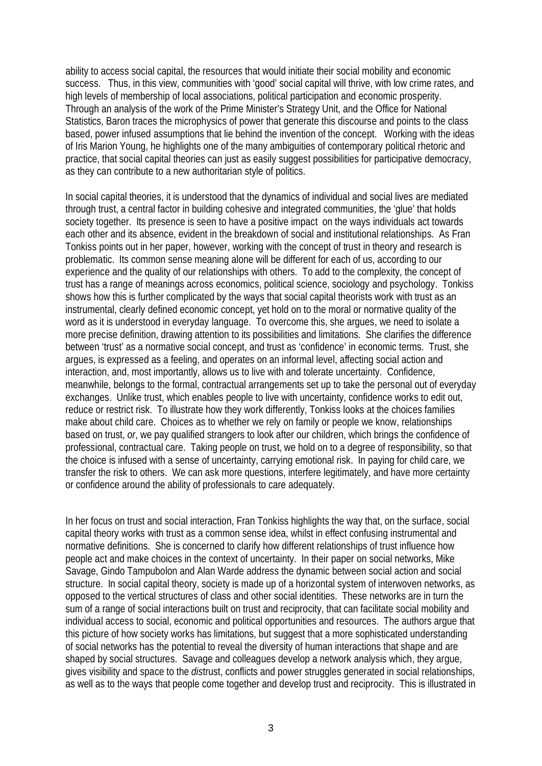ability to access social capital, the resources that would initiate their social mobility and economic success. Thus, in this view, communities with 'good' social capital will thrive, with low crime rates, and high levels of membership of local associations, political participation and economic prosperity. Through an analysis of the work of the Prime Minister's Strategy Unit, and the Office for National Statistics, Baron traces the microphysics of power that generate this discourse and points to the class based, power infused assumptions that lie behind the invention of the concept. Working with the ideas of Iris Marion Young, he highlights one of the many ambiguities of contemporary political rhetoric and practice, that social capital theories can just as easily suggest possibilities for participative democracy, as they can contribute to a new authoritarian style of politics.

In social capital theories, it is understood that the dynamics of individual and social lives are mediated through trust, a central factor in building cohesive and integrated communities, the 'glue' that holds society together. Its presence is seen to have a positive impact on the ways individuals act towards each other and its absence, evident in the breakdown of social and institutional relationships. As Fran Tonkiss points out in her paper, however, working with the concept of trust in theory and research is problematic. Its common sense meaning alone will be different for each of us, according to our experience and the quality of our relationships with others. To add to the complexity, the concept of trust has a range of meanings across economics, political science, sociology and psychology. Tonkiss shows how this is further complicated by the ways that social capital theorists work with trust as an instrumental, clearly defined economic concept, yet hold on to the moral or normative quality of the word as it is understood in everyday language. To overcome this, she argues, we need to isolate a more precise definition, drawing attention to its possibilities and limitations. She clarifies the difference between 'trust' as a normative social concept, and trust as 'confidence' in economic terms. Trust, she argues, is expressed as a feeling, and operates on an informal level, affecting social action and interaction, and, most importantly, allows us to live with and tolerate uncertainty. Confidence, meanwhile, belongs to the formal, contractual arrangements set up to take the personal out of everyday exchanges. Unlike trust, which enables people to live with uncertainty, confidence works to edit out, reduce or restrict risk. To illustrate how they work differently, Tonkiss looks at the choices families make about child care. Choices as to whether we rely on family or people we know, relationships based on trust, *or*, we pay qualified strangers to look after our children, which brings the confidence of professional, contractual care. Taking people on trust, we hold on to a degree of responsibility, so that the choice is infused with a sense of uncertainty, carrying emotional risk. In paying for child care, we transfer the risk to others. We can ask more questions, interfere legitimately, and have more certainty or confidence around the ability of professionals to care adequately.

In her focus on trust and social interaction, Fran Tonkiss highlights the way that, on the surface, social capital theory works with trust as a common sense idea, whilst in effect confusing instrumental and normative definitions. She is concerned to clarify how different relationships of trust influence how people act and make choices in the context of uncertainty. In their paper on social networks, Mike Savage, Gindo Tampubolon and Alan Warde address the dynamic between social action and social structure. In social capital theory, society is made up of a horizontal system of interwoven networks, as opposed to the vertical structures of class and other social identities. These networks are in turn the sum of a range of social interactions built on trust and reciprocity, that can facilitate social mobility and individual access to social, economic and political opportunities and resources. The authors argue that this picture of how society works has limitations, but suggest that a more sophisticated understanding of social networks has the potential to reveal the diversity of human interactions that shape and are shaped by social structures. Savage and colleagues develop a network analysis which, they argue, gives visibility and space to the *dis*trust, conflicts and power struggles generated in social relationships, as well as to the ways that people come together and develop trust and reciprocity. This is illustrated in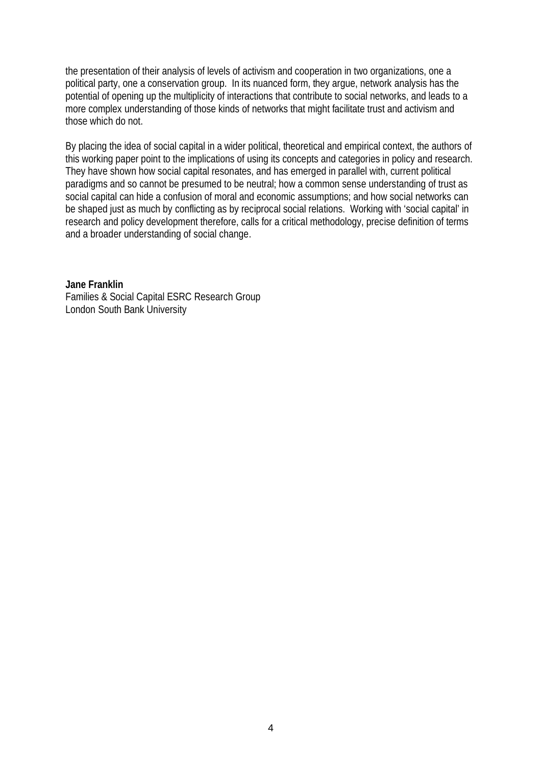the presentation of their analysis of levels of activism and cooperation in two organizations, one a political party, one a conservation group. In its nuanced form, they argue, network analysis has the potential of opening up the multiplicity of interactions that contribute to social networks, and leads to a more complex understanding of those kinds of networks that might facilitate trust and activism and those which do not.

By placing the idea of social capital in a wider political, theoretical and empirical context, the authors of this working paper point to the implications of using its concepts and categories in policy and research. They have shown how social capital resonates, and has emerged in parallel with, current political paradigms and so cannot be presumed to be neutral; how a common sense understanding of trust as social capital can hide a confusion of moral and economic assumptions; and how social networks can be shaped just as much by conflicting as by reciprocal social relations. Working with 'social capital' in research and policy development therefore, calls for a critical methodology, precise definition of terms and a broader understanding of social change.

**Jane Franklin** Families & Social Capital ESRC Research Group London South Bank University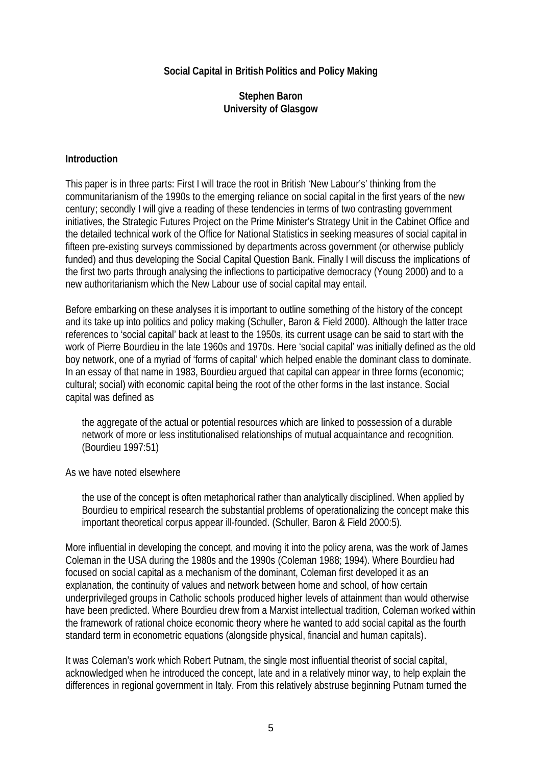#### **Social Capital in British Politics and Policy Making**

#### **Stephen Baron University of Glasgow**

#### **Introduction**

This paper is in three parts: First I will trace the root in British 'New Labour's' thinking from the communitarianism of the 1990s to the emerging reliance on social capital in the first years of the new century; secondly I will give a reading of these tendencies in terms of two contrasting government initiatives, the Strategic Futures Project on the Prime Minister's Strategy Unit in the Cabinet Office and the detailed technical work of the Office for National Statistics in seeking measures of social capital in fifteen pre-existing surveys commissioned by departments across government (or otherwise publicly funded) and thus developing the Social Capital Question Bank. Finally I will discuss the implications of the first two parts through analysing the inflections to participative democracy (Young 2000) and to a new authoritarianism which the New Labour use of social capital may entail.

Before embarking on these analyses it is important to outline something of the history of the concept and its take up into politics and policy making (Schuller, Baron & Field 2000). Although the latter trace references to 'social capital' back at least to the 1950s, its current usage can be said to start with the work of Pierre Bourdieu in the late 1960s and 1970s. Here 'social capital' was initially defined as the old boy network, one of a myriad of 'forms of capital' which helped enable the dominant class to dominate. In an essay of that name in 1983, Bourdieu argued that capital can appear in three forms (economic; cultural; social) with economic capital being the root of the other forms in the last instance. Social capital was defined as

the aggregate of the actual or potential resources which are linked to possession of a durable network of more or less institutionalised relationships of mutual acquaintance and recognition. (Bourdieu 1997:51)

As we have noted elsewhere

the use of the concept is often metaphorical rather than analytically disciplined. When applied by Bourdieu to empirical research the substantial problems of operationalizing the concept make this important theoretical corpus appear ill-founded. (Schuller, Baron & Field 2000:5).

More influential in developing the concept, and moving it into the policy arena, was the work of James Coleman in the USA during the 1980s and the 1990s (Coleman 1988; 1994). Where Bourdieu had focused on social capital as a mechanism of the dominant, Coleman first developed it as an explanation, the continuity of values and network between home and school, of how certain underprivileged groups in Catholic schools produced higher levels of attainment than would otherwise have been predicted. Where Bourdieu drew from a Marxist intellectual tradition, Coleman worked within the framework of rational choice economic theory where he wanted to add social capital as the fourth standard term in econometric equations (alongside physical, financial and human capitals).

It was Coleman's work which Robert Putnam, the single most influential theorist of social capital, acknowledged when he introduced the concept, late and in a relatively minor way, to help explain the differences in regional government in Italy. From this relatively abstruse beginning Putnam turned the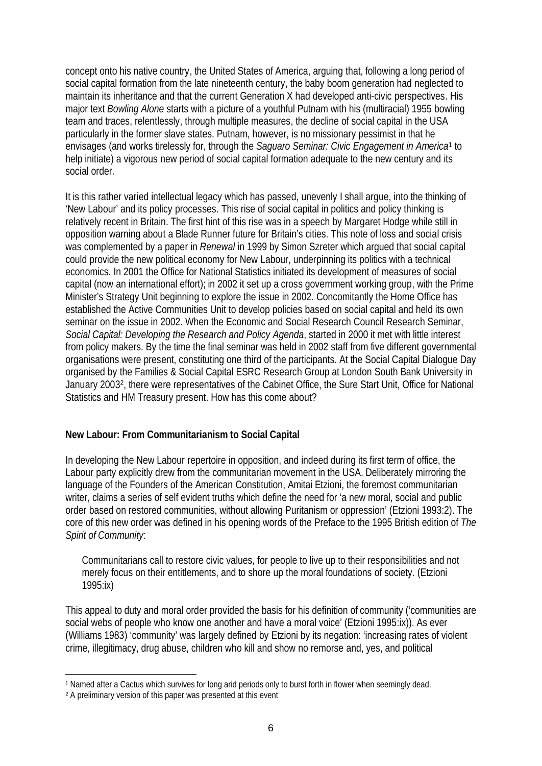concept onto his native country, the United States of America, arguing that, following a long period of social capital formation from the late nineteenth century, the baby boom generation had neglected to maintain its inheritance and that the current Generation X had developed anti-civic perspectives. His major text *Bowling Alone* starts with a picture of a youthful Putnam with his (multiracial) 1955 bowling team and traces, relentlessly, through multiple measures, the decline of social capital in the USA particularly in the former slave states. Putnam, however, is no missionary pessimist in that he envisages (and works tirelessly for, through the *Saguaro Seminar: Civic Engagement in America*1 to help initiate) a vigorous new period of social capital formation adequate to the new century and its social order.

It is this rather varied intellectual legacy which has passed, unevenly I shall argue, into the thinking of 'New Labour' and its policy processes. This rise of social capital in politics and policy thinking is relatively recent in Britain. The first hint of this rise was in a speech by Margaret Hodge while still in opposition warning about a Blade Runner future for Britain's cities. This note of loss and social crisis was complemented by a paper in *Renewal* in 1999 by Simon Szreter which argued that social capital could provide the new political economy for New Labour, underpinning its politics with a technical economics. In 2001 the Office for National Statistics initiated its development of measures of social capital (now an international effort); in 2002 it set up a cross government working group, with the Prime Minister's Strategy Unit beginning to explore the issue in 2002. Concomitantly the Home Office has established the Active Communities Unit to develop policies based on social capital and held its own seminar on the issue in 2002. When the Economic and Social Research Council Research Seminar, *Social Capital: Developing the Research and Policy Agenda*, started in 2000 it met with little interest from policy makers. By the time the final seminar was held in 2002 staff from five different governmental organisations were present, constituting one third of the participants. At the Social Capital Dialogue Day organised by the Families & Social Capital ESRC Research Group at London South Bank University in January 20032, there were representatives of the Cabinet Office, the Sure Start Unit, Office for National Statistics and HM Treasury present. How has this come about?

**New Labour: From Communitarianism to Social Capital**

In developing the New Labour repertoire in opposition, and indeed during its first term of office, the Labour party explicitly drew from the communitarian movement in the USA. Deliberately mirroring the language of the Founders of the American Constitution, Amitai Etzioni, the foremost communitarian writer, claims a series of self evident truths which define the need for 'a new moral, social and public order based on restored communities, without allowing Puritanism or oppression' (Etzioni 1993:2). The core of this new order was defined in his opening words of the Preface to the 1995 British edition of *The Spirit of Community*:

Communitarians call to restore civic values, for people to live up to their responsibilities and not merely focus on their entitlements, and to shore up the moral foundations of society. (Etzioni 1995:ix)

This appeal to duty and moral order provided the basis for his definition of community ('communities are social webs of people who know one another and have a moral voice' (Etzioni 1995:ix)). As ever (Williams 1983) 'community' was largely defined by Etzioni by its negation: 'increasing rates of violent crime, illegitimacy, drug abuse, children who kill and show no remorse and, yes, and political

 $\overline{a}$ 1 Named after a Cactus which survives for long arid periods only to burst forth in flower when seemingly dead.

<sup>2</sup> A preliminary version of this paper was presented at this event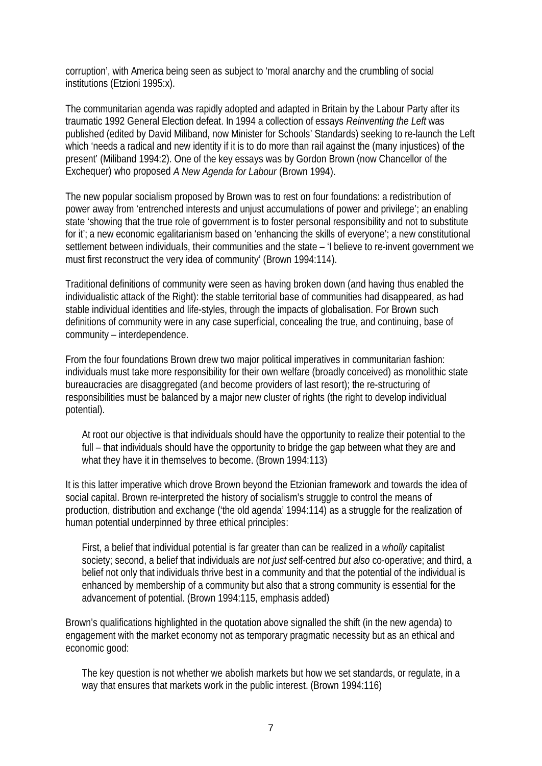corruption', with America being seen as subject to 'moral anarchy and the crumbling of social institutions (Etzioni 1995:x).

The communitarian agenda was rapidly adopted and adapted in Britain by the Labour Party after its traumatic 1992 General Election defeat. In 1994 a collection of essays *Reinventing the Left* was published (edited by David Miliband, now Minister for Schools' Standards) seeking to re-launch the Left which 'needs a radical and new identity if it is to do more than rail against the (many injustices) of the present' (Miliband 1994:2). One of the key essays was by Gordon Brown (now Chancellor of the Exchequer) who proposed *A New Agenda for Labour* (Brown 1994).

The new popular socialism proposed by Brown was to rest on four foundations: a redistribution of power away from 'entrenched interests and unjust accumulations of power and privilege'; an enabling state 'showing that the true role of government is to foster personal responsibility and not to substitute for it'; a new economic egalitarianism based on 'enhancing the skills of everyone'; a new constitutional settlement between individuals, their communities and the state – 'I believe to re-invent government we must first reconstruct the very idea of community' (Brown 1994:114).

Traditional definitions of community were seen as having broken down (and having thus enabled the individualistic attack of the Right): the stable territorial base of communities had disappeared, as had stable individual identities and life-styles, through the impacts of globalisation. For Brown such definitions of community were in any case superficial, concealing the true, and continuing, base of community – interdependence.

From the four foundations Brown drew two major political imperatives in communitarian fashion: individuals must take more responsibility for their own welfare (broadly conceived) as monolithic state bureaucracies are disaggregated (and become providers of last resort); the re-structuring of responsibilities must be balanced by a major new cluster of rights (the right to develop individual potential).

At root our objective is that individuals should have the opportunity to realize their potential to the full – that individuals should have the opportunity to bridge the gap between what they are and what they have it in themselves to become. (Brown 1994:113)

It is this latter imperative which drove Brown beyond the Etzionian framework and towards the idea of social capital. Brown re-interpreted the history of socialism's struggle to control the means of production, distribution and exchange ('the old agenda' 1994:114) as a struggle for the realization of human potential underpinned by three ethical principles:

First, a belief that individual potential is far greater than can be realized in a *wholly* capitalist society; second, a belief that individuals are *not just* self-centred *but also* co-operative; and third, a belief not only that individuals thrive best in a community and that the potential of the individual is enhanced by membership of a community but also that a strong community is essential for the advancement of potential. (Brown 1994:115, emphasis added)

Brown's qualifications highlighted in the quotation above signalled the shift (in the new agenda) to engagement with the market economy not as temporary pragmatic necessity but as an ethical and economic good:

The key question is not whether we abolish markets but how we set standards, or regulate, in a way that ensures that markets work in the public interest. (Brown 1994:116)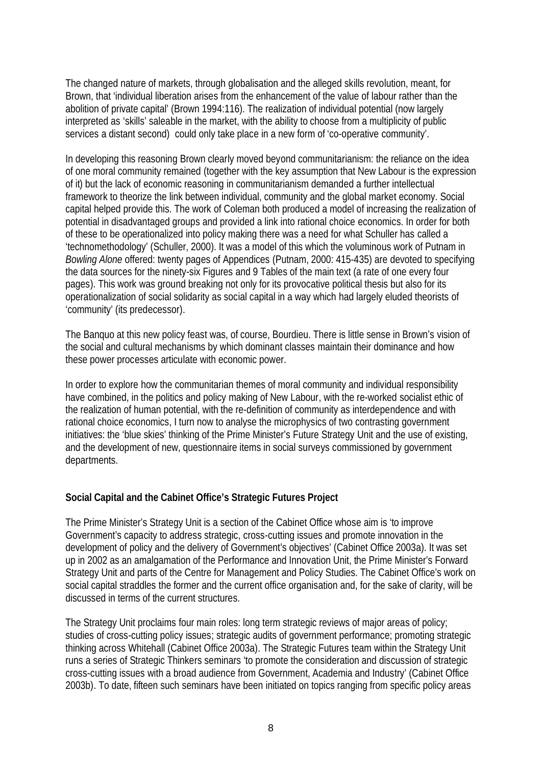The changed nature of markets, through globalisation and the alleged skills revolution, meant, for Brown, that 'individual liberation arises from the enhancement of the value of labour rather than the abolition of private capital' (Brown 1994:116). The realization of individual potential (now largely interpreted as 'skills' saleable in the market, with the ability to choose from a multiplicity of public services a distant second) could only take place in a new form of 'co-operative community'.

In developing this reasoning Brown clearly moved beyond communitarianism: the reliance on the idea of one moral community remained (together with the key assumption that New Labour is the expression of it) but the lack of economic reasoning in communitarianism demanded a further intellectual framework to theorize the link between individual, community and the global market economy. Social capital helped provide this. The work of Coleman both produced a model of increasing the realization of potential in disadvantaged groups and provided a link into rational choice economics. In order for both of these to be operationalized into policy making there was a need for what Schuller has called a 'technomethodology' (Schuller, 2000). It was a model of this which the voluminous work of Putnam in *Bowling Alone* offered: twenty pages of Appendices (Putnam, 2000: 415-435) are devoted to specifying the data sources for the ninety-six Figures and 9 Tables of the main text (a rate of one every four pages). This work was ground breaking not only for its provocative political thesis but also for its operationalization of social solidarity as social capital in a way which had largely eluded theorists of 'community' (its predecessor).

The Banquo at this new policy feast was, of course, Bourdieu. There is little sense in Brown's vision of the social and cultural mechanisms by which dominant classes maintain their dominance and how these power processes articulate with economic power.

In order to explore how the communitarian themes of moral community and individual responsibility have combined, in the politics and policy making of New Labour, with the re-worked socialist ethic of the realization of human potential, with the re-definition of community as interdependence and with rational choice economics, I turn now to analyse the microphysics of two contrasting government initiatives: the 'blue skies' thinking of the Prime Minister's Future Strategy Unit and the use of existing, and the development of new, questionnaire items in social surveys commissioned by government departments.

**Social Capital and the Cabinet Office's Strategic Futures Project**

The Prime Minister's Strategy Unit is a section of the Cabinet Office whose aim is 'to improve Government's capacity to address strategic, cross-cutting issues and promote innovation in the development of policy and the delivery of Government's objectives' (Cabinet Office 2003a). It was set up in 2002 as an amalgamation of the Performance and Innovation Unit, the Prime Minister's Forward Strategy Unit and parts of the Centre for Management and Policy Studies. The Cabinet Office's work on social capital straddles the former and the current office organisation and, for the sake of clarity, will be discussed in terms of the current structures.

The Strategy Unit proclaims four main roles: long term strategic reviews of major areas of policy; studies of cross-cutting policy issues; strategic audits of government performance; promoting strategic thinking across Whitehall (Cabinet Office 2003a). The Strategic Futures team within the Strategy Unit runs a series of Strategic Thinkers seminars 'to promote the consideration and discussion of strategic cross-cutting issues with a broad audience from Government, Academia and Industry' (Cabinet Office 2003b). To date, fifteen such seminars have been initiated on topics ranging from specific policy areas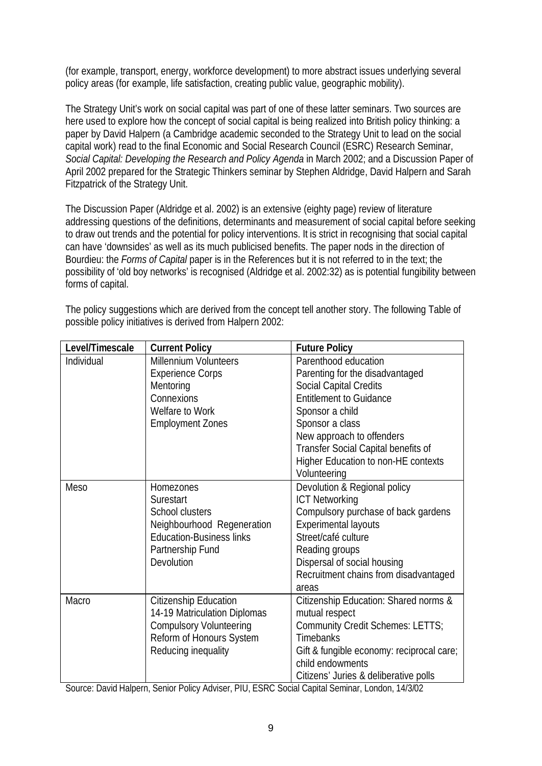(for example, transport, energy, workforce development) to more abstract issues underlying several policy areas (for example, life satisfaction, creating public value, geographic mobility).

The Strategy Unit's work on social capital was part of one of these latter seminars. Two sources are here used to explore how the concept of social capital is being realized into British policy thinking: a paper by David Halpern (a Cambridge academic seconded to the Strategy Unit to lead on the social capital work) read to the final Economic and Social Research Council (ESRC) Research Seminar, *Social Capital: Developing the Research and Policy Agenda* in March 2002; and a Discussion Paper of April 2002 prepared for the Strategic Thinkers seminar by Stephen Aldridge, David Halpern and Sarah Fitzpatrick of the Strategy Unit.

The Discussion Paper (Aldridge et al. 2002) is an extensive (eighty page) review of literature addressing questions of the definitions, determinants and measurement of social capital before seeking to draw out trends and the potential for policy interventions. It is strict in recognising that social capital can have 'downsides' as well as its much publicised benefits. The paper nods in the direction of Bourdieu: the *Forms of Capital* paper is in the References but it is not referred to in the text; the possibility of 'old boy networks' is recognised (Aldridge et al. 2002:32) as is potential fungibility between forms of capital.

| Level/Timescale | <b>Current Policy</b>           | <b>Future Policy</b>                      |
|-----------------|---------------------------------|-------------------------------------------|
| Individual      | <b>Millennium Volunteers</b>    | Parenthood education                      |
|                 | <b>Experience Corps</b>         | Parenting for the disadvantaged           |
|                 | Mentoring                       | <b>Social Capital Credits</b>             |
|                 | Connexions                      | <b>Entitlement to Guidance</b>            |
|                 | Welfare to Work                 | Sponsor a child                           |
|                 | <b>Employment Zones</b>         | Sponsor a class                           |
|                 |                                 | New approach to offenders                 |
|                 |                                 | Transfer Social Capital benefits of       |
|                 |                                 | Higher Education to non-HE contexts       |
|                 |                                 | Volunteering                              |
| <b>Meso</b>     | Homezones                       | Devolution & Regional policy              |
|                 | Surestart                       | <b>ICT Networking</b>                     |
|                 | School clusters                 | Compulsory purchase of back gardens       |
|                 | Neighbourhood Regeneration      | <b>Experimental layouts</b>               |
|                 | <b>Education-Business links</b> | Street/café culture                       |
|                 | Partnership Fund                | Reading groups                            |
|                 | Devolution                      | Dispersal of social housing               |
|                 |                                 | Recruitment chains from disadvantaged     |
|                 |                                 | areas                                     |
| Macro           | Citizenship Education           | Citizenship Education: Shared norms &     |
|                 | 14-19 Matriculation Diplomas    | mutual respect                            |
|                 | <b>Compulsory Volunteering</b>  | Community Credit Schemes: LETTS;          |
|                 | Reform of Honours System        | <b>Timebanks</b>                          |
|                 | Reducing inequality             | Gift & fungible economy: reciprocal care; |
|                 |                                 | child endowments                          |
|                 |                                 | Citizens' Juries & deliberative polls     |

The policy suggestions which are derived from the concept tell another story. The following Table of possible policy initiatives is derived from Halpern 2002:

Source: David Halpern, Senior Policy Adviser, PIU, ESRC Social Capital Seminar, London, 14/3/02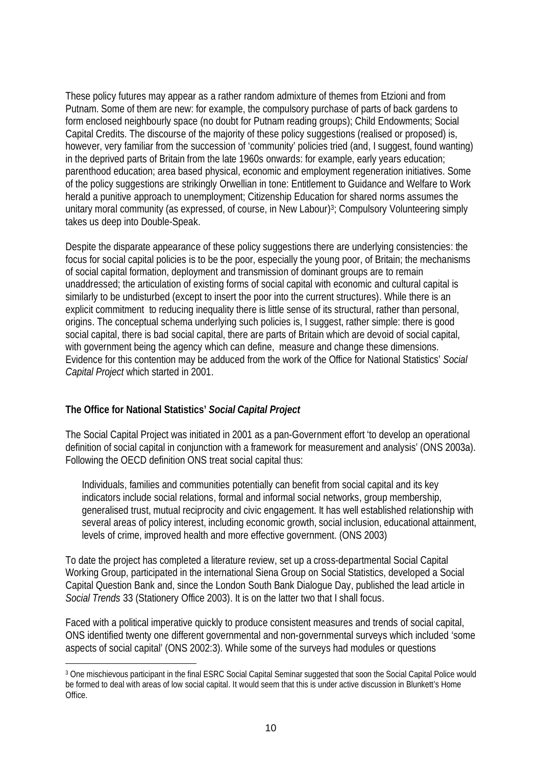These policy futures may appear as a rather random admixture of themes from Etzioni and from Putnam. Some of them are new: for example, the compulsory purchase of parts of back gardens to form enclosed neighbourly space (no doubt for Putnam reading groups); Child Endowments; Social Capital Credits. The discourse of the majority of these policy suggestions (realised or proposed) is, however, very familiar from the succession of 'community' policies tried (and, I suggest, found wanting) in the deprived parts of Britain from the late 1960s onwards: for example, early years education; parenthood education; area based physical, economic and employment regeneration initiatives. Some of the policy suggestions are strikingly Orwellian in tone: Entitlement to Guidance and Welfare to Work herald a punitive approach to unemployment; Citizenship Education for shared norms assumes the unitary moral community (as expressed, of course, in New Labour)<sup>3</sup>; Compulsory Volunteering simply takes us deep into Double-Speak.

Despite the disparate appearance of these policy suggestions there are underlying consistencies: the focus for social capital policies is to be the poor, especially the young poor, of Britain; the mechanisms of social capital formation, deployment and transmission of dominant groups are to remain unaddressed; the articulation of existing forms of social capital with economic and cultural capital is similarly to be undisturbed (except to insert the poor into the current structures). While there is an explicit commitment to reducing inequality there is little sense of its structural, rather than personal, origins. The conceptual schema underlying such policies is, I suggest, rather simple: there is good social capital, there is bad social capital, there are parts of Britain which are devoid of social capital, with government being the agency which can define, measure and change these dimensions. Evidence for this contention may be adduced from the work of the Office for National Statistics' *Social Capital Project* which started in 2001.

#### **The Office for National Statistics'** *Social Capital Project*

 $\overline{a}$ 

The Social Capital Project was initiated in 2001 as a pan-Government effort 'to develop an operational definition of social capital in conjunction with a framework for measurement and analysis' (ONS 2003a). Following the OECD definition ONS treat social capital thus:

Individuals, families and communities potentially can benefit from social capital and its key indicators include social relations, formal and informal social networks, group membership, generalised trust, mutual reciprocity and civic engagement. It has well established relationship with several areas of policy interest, including economic growth, social inclusion, educational attainment, levels of crime, improved health and more effective government. (ONS 2003)

To date the project has completed a literature review, set up a cross-departmental Social Capital Working Group, participated in the international Siena Group on Social Statistics, developed a Social Capital Question Bank and, since the London South Bank Dialogue Day, published the lead article in *Social Trends* 33 (Stationery Office 2003). It is on the latter two that I shall focus.

Faced with a political imperative quickly to produce consistent measures and trends of social capital, ONS identified twenty one different governmental and non-governmental surveys which included 'some aspects of social capital' (ONS 2002:3). While some of the surveys had modules or questions

<sup>3</sup> One mischievous participant in the final ESRC Social Capital Seminar suggested that soon the Social Capital Police would be formed to deal with areas of low social capital. It would seem that this is under active discussion in Blunkett's Home Office.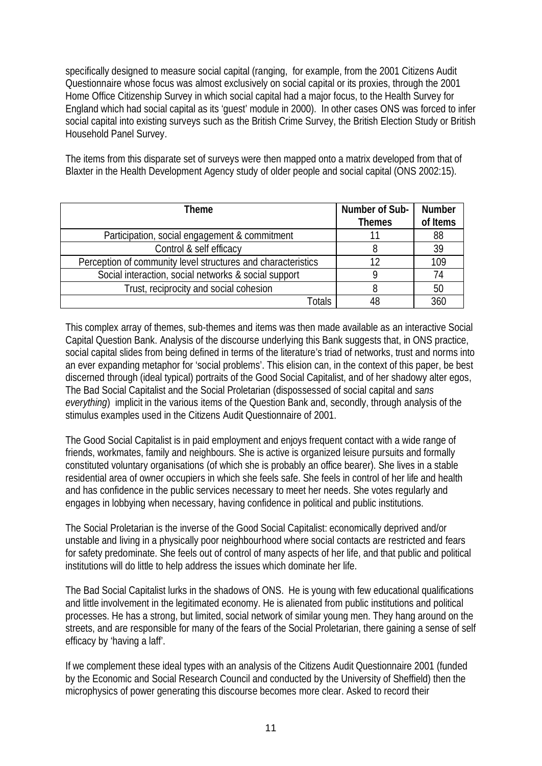specifically designed to measure social capital (ranging, for example, from the 2001 Citizens Audit Questionnaire whose focus was almost exclusively on social capital or its proxies, through the 2001 Home Office Citizenship Survey in which social capital had a major focus, to the Health Survey for England which had social capital as its 'guest' module in 2000). In other cases ONS was forced to infer social capital into existing surveys such as the British Crime Survey, the British Election Study or British Household Panel Survey.

The items from this disparate set of surveys were then mapped onto a matrix developed from that of Blaxter in the Health Development Agency study of older people and social capital (ONS 2002:15).

| Theme                                                        | Number of Sub- | <b>Number</b> |
|--------------------------------------------------------------|----------------|---------------|
|                                                              | <b>Themes</b>  | of Items      |
| Participation, social engagement & commitment                |                | 88            |
| Control & self efficacy                                      | 8              | 39            |
| Perception of community level structures and characteristics | 12             | 109           |
| Social interaction, social networks & social support         |                | 74            |
| Trust, reciprocity and social cohesion                       |                | 50            |
| Totals                                                       | 48             | 360           |

This complex array of themes, sub-themes and items was then made available as an interactive Social Capital Question Bank. Analysis of the discourse underlying this Bank suggests that, in ONS practice, social capital slides from being defined in terms of the literature's triad of networks, trust and norms into an ever expanding metaphor for 'social problems'. This elision can, in the context of this paper, be best discerned through (ideal typical) portraits of the Good Social Capitalist, and of her shadowy alter egos, The Bad Social Capitalist and the Social Proletarian (dispossessed of social capital and *sans everything*) implicit in the various items of the Question Bank and, secondly, through analysis of the stimulus examples used in the Citizens Audit Questionnaire of 2001.

The Good Social Capitalist is in paid employment and enjoys frequent contact with a wide range of friends, workmates, family and neighbours. She is active is organized leisure pursuits and formally constituted voluntary organisations (of which she is probably an office bearer). She lives in a stable residential area of owner occupiers in which she feels safe. She feels in control of her life and health and has confidence in the public services necessary to meet her needs. She votes regularly and engages in lobbying when necessary, having confidence in political and public institutions.

The Social Proletarian is the inverse of the Good Social Capitalist: economically deprived and/or unstable and living in a physically poor neighbourhood where social contacts are restricted and fears for safety predominate. She feels out of control of many aspects of her life, and that public and political institutions will do little to help address the issues which dominate her life.

The Bad Social Capitalist lurks in the shadows of ONS. He is young with few educational qualifications and little involvement in the legitimated economy. He is alienated from public institutions and political processes. He has a strong, but limited, social network of similar young men. They hang around on the streets, and are responsible for many of the fears of the Social Proletarian, there gaining a sense of self efficacy by 'having a laff'.

If we complement these ideal types with an analysis of the Citizens Audit Questionnaire 2001 (funded by the Economic and Social Research Council and conducted by the University of Sheffield) then the microphysics of power generating this discourse becomes more clear. Asked to record their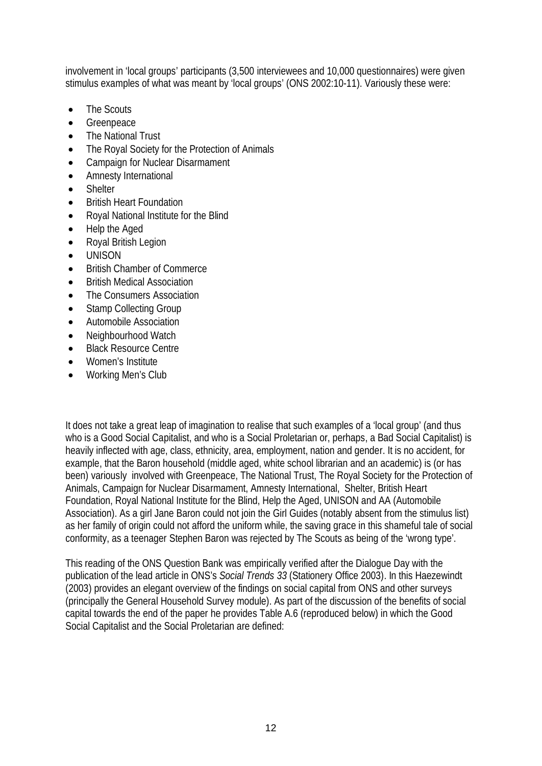involvement in 'local groups' participants (3,500 interviewees and 10,000 questionnaires) were given stimulus examples of what was meant by 'local groups' (ONS 2002:10-11). Variously these were:

- The Scouts
- Greenpeace
- The National Trust
- The Royal Society for the Protection of Animals
- Campaign for Nuclear Disarmament
- Amnesty International
- Shelter
- British Heart Foundation
- Royal National Institute for the Blind
- Help the Aged
- Royal British Legion
- UNISON
- British Chamber of Commerce
- British Medical Association
- The Consumers Association
- Stamp Collecting Group
- Automobile Association
- Neighbourhood Watch
- Black Resource Centre
- Women's Institute
- Working Men's Club

It does not take a great leap of imagination to realise that such examples of a 'local group' (and thus who is a Good Social Capitalist, and who is a Social Proletarian or, perhaps, a Bad Social Capitalist) is heavily inflected with age, class, ethnicity, area, employment, nation and gender. It is no accident, for example, that the Baron household (middle aged, white school librarian and an academic) is (or has been) variously involved with Greenpeace, The National Trust, The Royal Society for the Protection of Animals, Campaign for Nuclear Disarmament, Amnesty International, Shelter, British Heart Foundation, Royal National Institute for the Blind, Help the Aged, UNISON and AA (Automobile Association). As a girl Jane Baron could not join the Girl Guides (notably absent from the stimulus list) as her family of origin could not afford the uniform while, the saving grace in this shameful tale of social conformity, as a teenager Stephen Baron was rejected by The Scouts as being of the 'wrong type'.

This reading of the ONS Question Bank was empirically verified after the Dialogue Day with the publication of the lead article in ONS's *Social Trends 33* (Stationery Office 2003). In this Haezewindt (2003) provides an elegant overview of the findings on social capital from ONS and other surveys (principally the General Household Survey module). As part of the discussion of the benefits of social capital towards the end of the paper he provides Table A.6 (reproduced below) in which the Good Social Capitalist and the Social Proletarian are defined: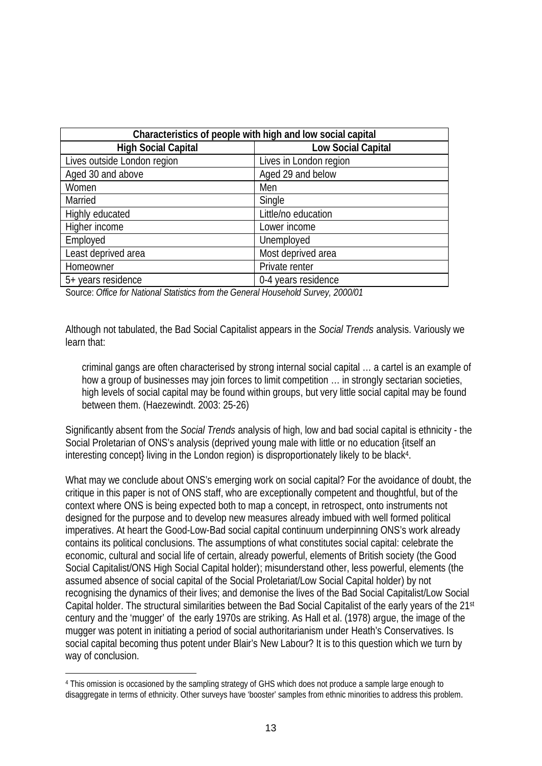| Characteristics of people with high and low social capital |                        |  |  |
|------------------------------------------------------------|------------------------|--|--|
| <b>High Social Capital</b>                                 | Low Social Capital     |  |  |
| Lives outside London region                                | Lives in London region |  |  |
| Aged 30 and above                                          | Aged 29 and below      |  |  |
| Women                                                      | Men                    |  |  |
| Married                                                    | Single                 |  |  |
| Highly educated                                            | Little/no education    |  |  |
| Higher income                                              | Lower income           |  |  |
| Employed                                                   | Unemployed             |  |  |
| Least deprived area                                        | Most deprived area     |  |  |
| Homeowner                                                  | Private renter         |  |  |
| 5+ years residence                                         | 0-4 years residence    |  |  |

Source: *Office for National Statistics from the General Household Survey, 2000/01*

Although not tabulated, the Bad Social Capitalist appears in the *Social Trends* analysis. Variously we learn that:

criminal gangs are often characterised by strong internal social capital … a cartel is an example of how a group of businesses may join forces to limit competition ... in strongly sectarian societies, high levels of social capital may be found within groups, but very little social capital may be found between them. (Haezewindt. 2003: 25-26)

Significantly absent from the *Social Trends* analysis of high, low and bad social capital is ethnicity - the Social Proletarian of ONS's analysis (deprived young male with little or no education {itself an interesting concept} living in the London region) is disproportionately likely to be black<sup>4</sup>.

What may we conclude about ONS's emerging work on social capital? For the avoidance of doubt, the critique in this paper is not of ONS staff, who are exceptionally competent and thoughtful, but of the context where ONS is being expected both to map a concept, in retrospect, onto instruments not designed for the purpose and to develop new measures already imbued with well formed political imperatives. At heart the Good-Low-Bad social capital continuum underpinning ONS's work already contains its political conclusions. The assumptions of what constitutes social capital: celebrate the economic, cultural and social life of certain, already powerful, elements of British society (the Good Social Capitalist/ONS High Social Capital holder); misunderstand other, less powerful, elements (the assumed absence of social capital of the Social Proletariat/Low Social Capital holder) by not recognising the dynamics of their lives; and demonise the lives of the Bad Social Capitalist/Low Social Capital holder. The structural similarities between the Bad Social Capitalist of the early years of the 21st century and the 'mugger' of the early 1970s are striking. As Hall et al. (1978) argue, the image of the mugger was potent in initiating a period of social authoritarianism under Heath's Conservatives. Is social capital becoming thus potent under Blair's New Labour? It is to this question which we turn by way of conclusion.

 $\overline{a}$ 

<sup>4</sup> This omission is occasioned by the sampling strategy of GHS which does not produce a sample large enough to disaggregate in terms of ethnicity. Other surveys have 'booster' samples from ethnic minorities to address this problem.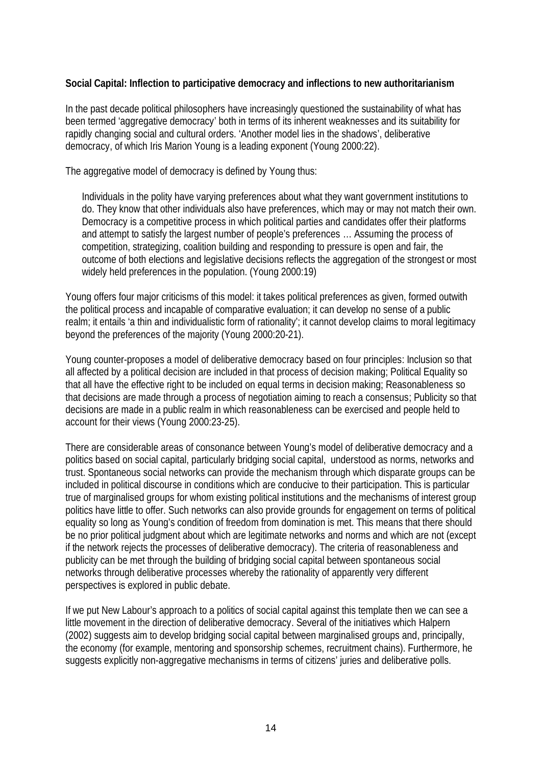**Social Capital: Inflection to participative democracy and inflections to new authoritarianism**

In the past decade political philosophers have increasingly questioned the sustainability of what has been termed 'aggregative democracy' both in terms of its inherent weaknesses and its suitability for rapidly changing social and cultural orders. 'Another model lies in the shadows', deliberative democracy, of which Iris Marion Young is a leading exponent (Young 2000:22).

The aggregative model of democracy is defined by Young thus:

Individuals in the polity have varying preferences about what they want government institutions to do. They know that other individuals also have preferences, which may or may not match their own. Democracy is a competitive process in which political parties and candidates offer their platforms and attempt to satisfy the largest number of people's preferences … Assuming the process of competition, strategizing, coalition building and responding to pressure is open and fair, the outcome of both elections and legislative decisions reflects the aggregation of the strongest or most widely held preferences in the population. (Young 2000:19)

Young offers four major criticisms of this model: it takes political preferences as given, formed outwith the political process and incapable of comparative evaluation; it can develop no sense of a public realm; it entails 'a thin and individualistic form of rationality'; it cannot develop claims to moral legitimacy beyond the preferences of the majority (Young 2000:20-21).

Young counter-proposes a model of deliberative democracy based on four principles: Inclusion so that all affected by a political decision are included in that process of decision making; Political Equality so that all have the effective right to be included on equal terms in decision making; Reasonableness so that decisions are made through a process of negotiation aiming to reach a consensus; Publicity so that decisions are made in a public realm in which reasonableness can be exercised and people held to account for their views (Young 2000:23-25).

There are considerable areas of consonance between Young's model of deliberative democracy and a politics based on social capital, particularly bridging social capital, understood as norms, networks and trust. Spontaneous social networks can provide the mechanism through which disparate groups can be included in political discourse in conditions which are conducive to their participation. This is particular true of marginalised groups for whom existing political institutions and the mechanisms of interest group politics have little to offer. Such networks can also provide grounds for engagement on terms of political equality so long as Young's condition of freedom from domination is met. This means that there should be no prior political judgment about which are legitimate networks and norms and which are not (except if the network rejects the processes of deliberative democracy). The criteria of reasonableness and publicity can be met through the building of bridging social capital between spontaneous social networks through deliberative processes whereby the rationality of apparently very different perspectives is explored in public debate.

If we put New Labour's approach to a politics of social capital against this template then we can see a little movement in the direction of deliberative democracy. Several of the initiatives which Halpern (2002) suggests aim to develop bridging social capital between marginalised groups and, principally, the economy (for example, mentoring and sponsorship schemes, recruitment chains). Furthermore, he suggests explicitly non-aggregative mechanisms in terms of citizens' juries and deliberative polls.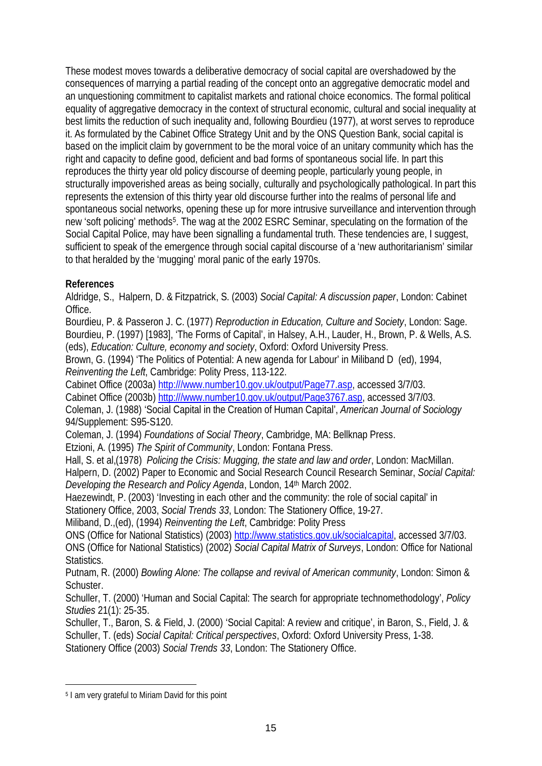These modest moves towards a deliberative democracy of social capital are overshadowed by the consequences of marrying a partial reading of the concept onto an aggregative democratic model and an unquestioning commitment to capitalist markets and rational choice economics. The formal political equality of aggregative democracy in the context of structural economic, cultural and social inequality at best limits the reduction of such inequality and, following Bourdieu (1977), at worst serves to reproduce it. As formulated by the Cabinet Office Strategy Unit and by the ONS Question Bank, social capital is based on the implicit claim by government to be the moral voice of an unitary community which has the right and capacity to define good, deficient and bad forms of spontaneous social life. In part this reproduces the thirty year old policy discourse of deeming people, particularly young people, in structurally impoverished areas as being socially, culturally and psychologically pathological. In part this represents the extension of this thirty year old discourse further into the realms of personal life and spontaneous social networks, opening these up for more intrusive surveillance and intervention through new 'soft policing' methods5. The wag at the 2002 ESRC Seminar, speculating on the formation of the Social Capital Police, may have been signalling a fundamental truth. These tendencies are, I suggest, sufficient to speak of the emergence through social capital discourse of a 'new authoritarianism' similar to that heralded by the 'mugging' moral panic of the early 1970s.

**References**

Aldridge, S., Halpern, D. & Fitzpatrick, S. (2003) *Social Capital: A discussion paper*, London: Cabinet Office.

Bourdieu, P. & Passeron J. C. (1977) *Reproduction in Education, Culture and Society*, London: Sage. Bourdieu, P. (1997) [1983], 'The Forms of Capital', in Halsey, A.H., Lauder, H., Brown, P. & Wells, A.S. (eds), *Education: Culture, economy and society*, Oxford: Oxford University Press.

Brown, G. (1994) 'The Politics of Potential: A new agenda for Labour' in Miliband D (ed), 1994, *Reinventing the Left*, Cambridge: Polity Press, 113-122.

Cabinet Office (2003a)<http:///www.number10.gov.uk/output/Page77.asp>, accessed 3/7/03.

Cabinet Office (2003b)<http:///www.number10.gov.uk/output/Page3767.asp>, accessed 3/7/03.

Coleman, J. (1988) 'Social Capital in the Creation of Human Capital', *American Journal of Sociology* 94/Supplement: S95-S120.

Coleman, J. (1994) *Foundations of Social Theory*, Cambridge, MA: Bellknap Press.

Etzioni, A. (1995) *The Spirit of Community*, London: Fontana Press.

Hall, S. et al,(1978) *Policing the Crisis: Mugging, the state and law and order*, London: MacMillan.

Halpern, D. (2002) Paper to Economic and Social Research Council Research Seminar, *Social Capital: Developing the Research and Policy Agenda*, London, 14th March 2002.

Haezewindt, P. (2003) 'Investing in each other and the community: the role of social capital' in Stationery Office, 2003, *Social Trends 33*, London: The Stationery Office, 19-27.

Miliband, D.,(ed), (1994) *Reinventing the Left*, Cambridge: Polity Press

ONS (Office for National Statistics) (2003)<http://www.statistics.gov.uk/socialcapital>, accessed 3/7/03. ONS (Office for National Statistics) (2002) *Social Capital Matrix of Surveys*, London: Office for National Statistics.

Putnam, R. (2000) *Bowling Alone: The collapse and revival of American community*, London: Simon & Schuster.

Schuller, T. (2000) 'Human and Social Capital: The search for appropriate technomethodology', *Policy Studies* 21(1): 25-35.

Schuller, T., Baron, S. & Field, J. (2000) 'Social Capital: A review and critique', in Baron, S., Field, J. & Schuller, T. (eds) *Social Capital: Critical perspectives*, Oxford: Oxford University Press, 1-38. Stationery Office (2003) *Social Trends 33*, London: The Stationery Office.

 $\overline{a}$ 

<sup>5</sup> I am very grateful to Miriam David for this point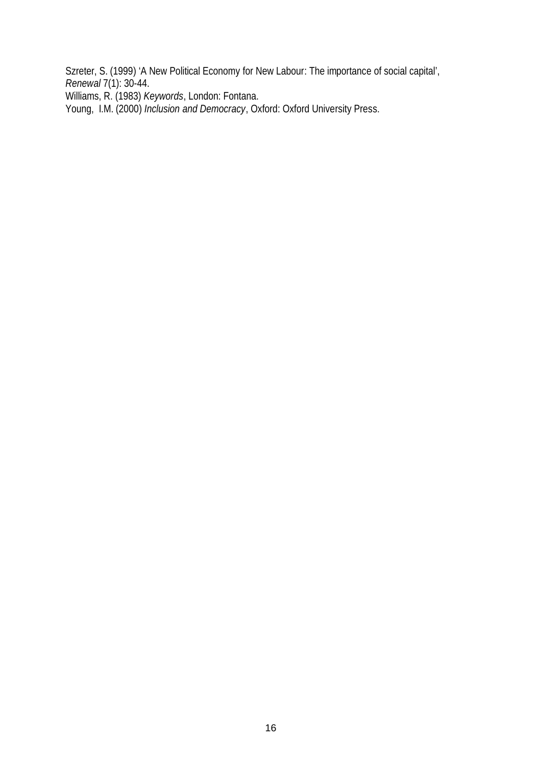Szreter, S. (1999) 'A New Political Economy for New Labour: The importance of social capital', *Renewal* 7(1): 30-44.

Williams, R. (1983) *Keywords*, London: Fontana.

Young, I.M. (2000) *Inclusion and Democracy*, Oxford: Oxford University Press.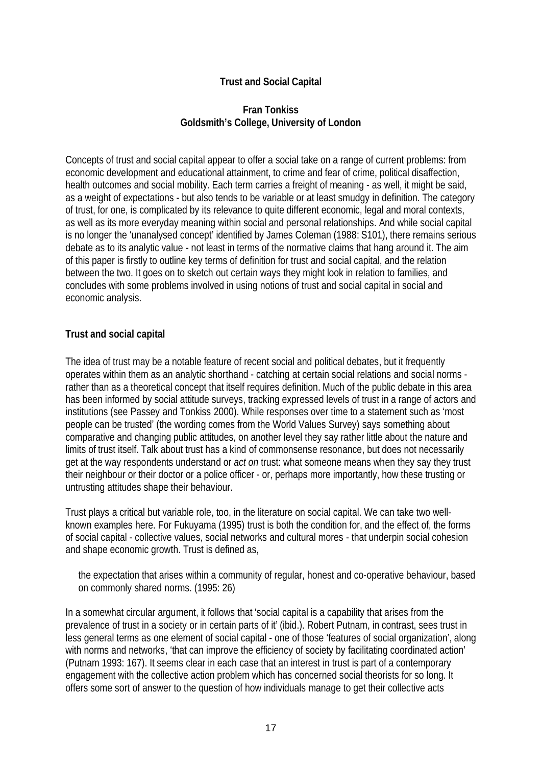### **Trust and Social Capital**

#### **Fran Tonkiss Goldsmith's College, University of London**

Concepts of trust and social capital appear to offer a social take on a range of current problems: from economic development and educational attainment, to crime and fear of crime, political disaffection, health outcomes and social mobility. Each term carries a freight of meaning - as well, it might be said, as a weight of expectations - but also tends to be variable or at least smudgy in definition. The category of trust, for one, is complicated by its relevance to quite different economic, legal and moral contexts, as well as its more everyday meaning within social and personal relationships. And while social capital is no longer the 'unanalysed concept' identified by James Coleman (1988: S101), there remains serious debate as to its analytic value - not least in terms of the normative claims that hang around it. The aim of this paper is firstly to outline key terms of definition for trust and social capital, and the relation between the two. It goes on to sketch out certain ways they might look in relation to families, and concludes with some problems involved in using notions of trust and social capital in social and economic analysis.

#### **Trust and social capital**

The idea of trust may be a notable feature of recent social and political debates, but it frequently operates within them as an analytic shorthand - catching at certain social relations and social norms rather than as a theoretical concept that itself requires definition. Much of the public debate in this area has been informed by social attitude surveys, tracking expressed levels of trust in a range of actors and institutions (see Passey and Tonkiss 2000). While responses over time to a statement such as 'most people can be trusted' (the wording comes from the World Values Survey) says something about comparative and changing public attitudes, on another level they say rather little about the nature and limits of trust itself. Talk about trust has a kind of commonsense resonance, but does not necessarily get at the way respondents understand or *act on* trust: what someone means when they say they trust their neighbour or their doctor or a police officer - or, perhaps more importantly, how these trusting or untrusting attitudes shape their behaviour.

Trust plays a critical but variable role, too, in the literature on social capital. We can take two wellknown examples here. For Fukuyama (1995) trust is both the condition for, and the effect of, the forms of social capital - collective values, social networks and cultural mores - that underpin social cohesion and shape economic growth. Trust is defined as,

the expectation that arises within a community of regular, honest and co-operative behaviour, based on commonly shared norms. (1995: 26)

In a somewhat circular argument, it follows that 'social capital is a capability that arises from the prevalence of trust in a society or in certain parts of it' (ibid.). Robert Putnam, in contrast, sees trust in less general terms as one element of social capital - one of those 'features of social organization', along with norms and networks, 'that can improve the efficiency of society by facilitating coordinated action' (Putnam 1993: 167). It seems clear in each case that an interest in trust is part of a contemporary engagement with the collective action problem which has concerned social theorists for so long. It offers some sort of answer to the question of how individuals manage to get their collective acts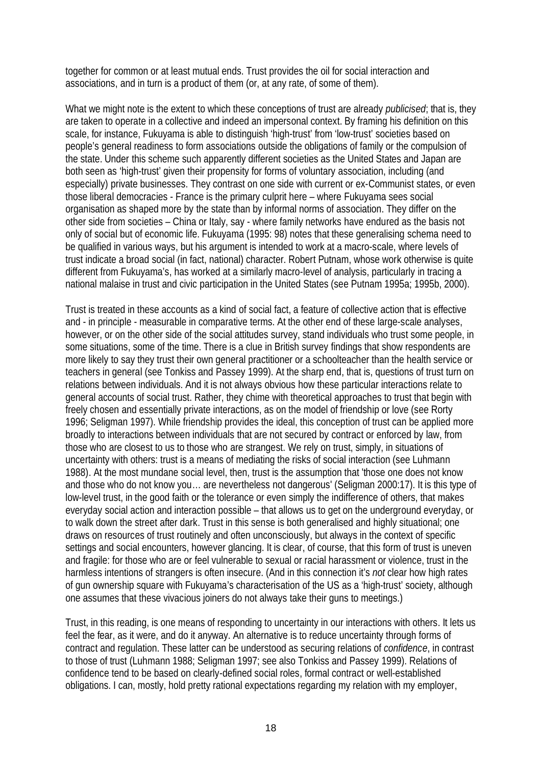together for common or at least mutual ends. Trust provides the oil for social interaction and associations, and in turn is a product of them (or, at any rate, of some of them).

What we might note is the extent to which these conceptions of trust are already *publicised*; that is, they are taken to operate in a collective and indeed an impersonal context. By framing his definition on this scale, for instance, Fukuyama is able to distinguish 'high-trust' from 'low-trust' societies based on people's general readiness to form associations outside the obligations of family or the compulsion of the state. Under this scheme such apparently different societies as the United States and Japan are both seen as 'high-trust' given their propensity for forms of voluntary association, including (and especially) private businesses. They contrast on one side with current or ex-Communist states, or even those liberal democracies - France is the primary culprit here – where Fukuyama sees social organisation as shaped more by the state than by informal norms of association. They differ on the other side from societies – China or Italy, say - where family networks have endured as the basis not only of social but of economic life. Fukuyama (1995: 98) notes that these generalising schema need to be qualified in various ways, but his argument is intended to work at a macro-scale, where levels of trust indicate a broad social (in fact, national) character. Robert Putnam, whose work otherwise is quite different from Fukuyama's, has worked at a similarly macro-level of analysis, particularly in tracing a national malaise in trust and civic participation in the United States (see Putnam 1995a; 1995b, 2000).

Trust is treated in these accounts as a kind of social fact, a feature of collective action that is effective and - in principle - measurable in comparative terms. At the other end of these large-scale analyses, however, or on the other side of the social attitudes survey, stand individuals who trust some people, in some situations, some of the time. There is a clue in British survey findings that show respondents are more likely to say they trust their own general practitioner or a schoolteacher than the health service or teachers in general (see Tonkiss and Passey 1999). At the sharp end, that is, questions of trust turn on relations between individuals. And it is not always obvious how these particular interactions relate to general accounts of social trust. Rather, they chime with theoretical approaches to trust that begin with freely chosen and essentially private interactions, as on the model of friendship or love (see Rorty 1996; Seligman 1997). While friendship provides the ideal, this conception of trust can be applied more broadly to interactions between individuals that are not secured by contract or enforced by law, from those who are closest to us to those who are strangest. We rely on trust, simply, in situations of uncertainty with others: trust is a means of mediating the risks of social interaction (see Luhmann 1988). At the most mundane social level, then, trust is the assumption that 'those one does not know and those who do not know you… are nevertheless not dangerous' (Seligman 2000:17). It is this type of low-level trust, in the good faith or the tolerance or even simply the indifference of others, that makes everyday social action and interaction possible – that allows us to get on the underground everyday, or to walk down the street after dark. Trust in this sense is both generalised and highly situational; one draws on resources of trust routinely and often unconsciously, but always in the context of specific settings and social encounters, however glancing. It is clear, of course, that this form of trust is uneven and fragile: for those who are or feel vulnerable to sexual or racial harassment or violence, trust in the harmless intentions of strangers is often insecure. (And in this connection it's *not* clear how high rates of gun ownership square with Fukuyama's characterisation of the US as a 'high-trust' society, although one assumes that these vivacious joiners do not always take their guns to meetings.)

Trust, in this reading, is one means of responding to uncertainty in our interactions with others. It lets us feel the fear, as it were, and do it anyway. An alternative is to reduce uncertainty through forms of contract and regulation. These latter can be understood as securing relations of *confidence*, in contrast to those of trust (Luhmann 1988; Seligman 1997; see also Tonkiss and Passey 1999). Relations of confidence tend to be based on clearly-defined social roles, formal contract or well-established obligations. I can, mostly, hold pretty rational expectations regarding my relation with my employer,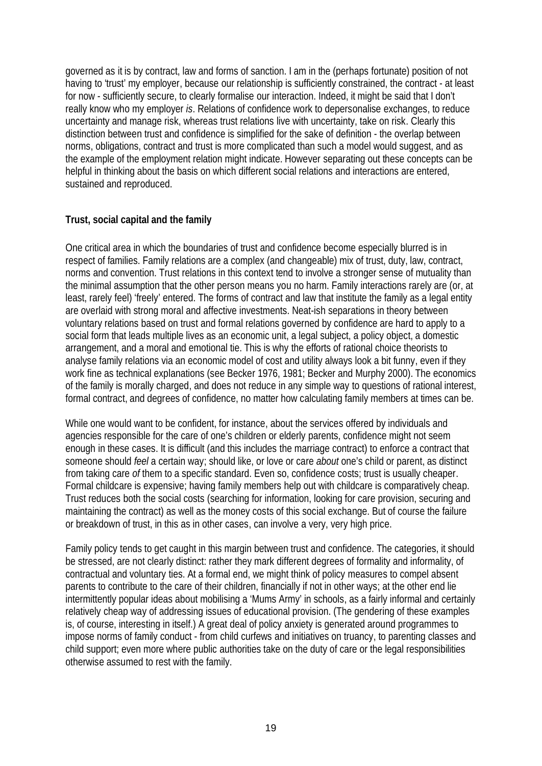governed as it is by contract, law and forms of sanction. I am in the (perhaps fortunate) position of not having to 'trust' my employer, because our relationship is sufficiently constrained, the contract - at least for now - sufficiently secure, to clearly formalise our interaction. Indeed, it might be said that I don't really know who my employer *is*. Relations of confidence work to depersonalise exchanges, to reduce uncertainty and manage risk, whereas trust relations live with uncertainty, take on risk. Clearly this distinction between trust and confidence is simplified for the sake of definition - the overlap between norms, obligations, contract and trust is more complicated than such a model would suggest, and as the example of the employment relation might indicate. However separating out these concepts can be helpful in thinking about the basis on which different social relations and interactions are entered, sustained and reproduced.

#### **Trust, social capital and the family**

One critical area in which the boundaries of trust and confidence become especially blurred is in respect of families. Family relations are a complex (and changeable) mix of trust, duty, law, contract, norms and convention. Trust relations in this context tend to involve a stronger sense of mutuality than the minimal assumption that the other person means you no harm. Family interactions rarely are (or, at least, rarely feel) 'freely' entered. The forms of contract and law that institute the family as a legal entity are overlaid with strong moral and affective investments. Neat-ish separations in theory between voluntary relations based on trust and formal relations governed by confidence are hard to apply to a social form that leads multiple lives as an economic unit, a legal subject, a policy object, a domestic arrangement, and a moral and emotional tie. This is why the efforts of rational choice theorists to analyse family relations via an economic model of cost and utility always look a bit funny, even if they work fine as technical explanations (see Becker 1976, 1981; Becker and Murphy 2000). The economics of the family is morally charged, and does not reduce in any simple way to questions of rational interest, formal contract, and degrees of confidence, no matter how calculating family members at times can be.

While one would want to be confident, for instance, about the services offered by individuals and agencies responsible for the care of one's children or elderly parents, confidence might not seem enough in these cases. It is difficult (and this includes the marriage contract) to enforce a contract that someone should *feel* a certain way; should like, or love or care *about* one's child or parent, as distinct from taking care *of* them to a specific standard. Even so, confidence costs; trust is usually cheaper. Formal childcare is expensive; having family members help out with childcare is comparatively cheap. Trust reduces both the social costs (searching for information, looking for care provision, securing and maintaining the contract) as well as the money costs of this social exchange. But of course the failure or breakdown of trust, in this as in other cases, can involve a very, very high price.

Family policy tends to get caught in this margin between trust and confidence. The categories, it should be stressed, are not clearly distinct: rather they mark different degrees of formality and informality, of contractual and voluntary ties. At a formal end, we might think of policy measures to compel absent parents to contribute to the care of their children, financially if not in other ways; at the other end lie intermittently popular ideas about mobilising a 'Mums Army' in schools, as a fairly informal and certainly relatively cheap way of addressing issues of educational provision. (The gendering of these examples is, of course, interesting in itself.) A great deal of policy anxiety is generated around programmes to impose norms of family conduct - from child curfews and initiatives on truancy, to parenting classes and child support; even more where public authorities take on the duty of care or the legal responsibilities otherwise assumed to rest with the family.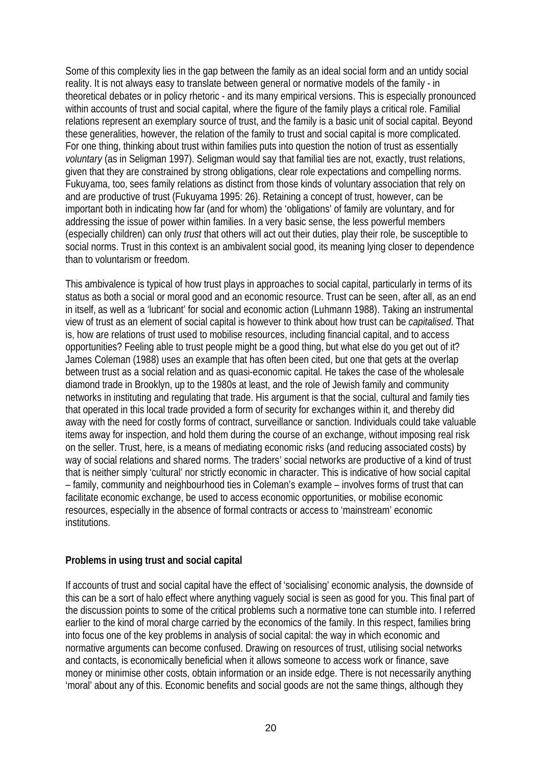Some of this complexity lies in the gap between the family as an ideal social form and an untidy social reality. It is not always easy to translate between general or normative models of the family - in theoretical debates or in policy rhetoric - and its many empirical versions. This is especially pronounced within accounts of trust and social capital, where the figure of the family plays a critical role. Familial relations represent an exemplary source of trust, and the family is a basic unit of social capital. Beyond these generalities, however, the relation of the family to trust and social capital is more complicated. For one thing, thinking about trust within families puts into question the notion of trust as essentially *voluntary* (as in Seligman 1997). Seligman would say that familial ties are not, exactly, trust relations, given that they are constrained by strong obligations, clear role expectations and compelling norms. Fukuyama, too, sees family relations as distinct from those kinds of voluntary association that rely on and are productive of trust (Fukuyama 1995: 26). Retaining a concept of trust, however, can be important both in indicating how far (and for whom) the 'obligations' of family are voluntary, and for addressing the issue of power within families. In a very basic sense, the less powerful members (especially children) can only *trust* that others will act out their duties, play their role, be susceptible to social norms. Trust in this context is an ambivalent social good, its meaning lying closer to dependence than to voluntarism or freedom.

This ambivalence is typical of how trust plays in approaches to social capital, particularly in terms of its status as both a social or moral good and an economic resource. Trust can be seen, after all, as an end in itself, as well as a 'lubricant' for social and economic action (Luhmann 1988). Taking an instrumental view of trust as an element of social capital is however to think about how trust can be *capitalised*. That is, how are relations of trust used to mobilise resources, including financial capital, and to access opportunities? Feeling able to trust people might be a good thing, but what else do you get out of it? James Coleman (1988) uses an example that has often been cited, but one that gets at the overlap between trust as a social relation and as quasi-economic capital. He takes the case of the wholesale diamond trade in Brooklyn, up to the 1980s at least, and the role of Jewish family and community networks in instituting and regulating that trade. His argument is that the social, cultural and family ties that operated in this local trade provided a form of security for exchanges within it, and thereby did away with the need for costly forms of contract, surveillance or sanction. Individuals could take valuable items away for inspection, and hold them during the course of an exchange, without imposing real risk on the seller. Trust, here, is a means of mediating economic risks (and reducing associated costs) by way of social relations and shared norms. The traders' social networks are productive of a kind of trust that is neither simply 'cultural' nor strictly economic in character. This is indicative of how social capital – family, community and neighbourhood ties in Coleman's example – involves forms of trust that can facilitate economic exchange, be used to access economic opportunities, or mobilise economic resources, especially in the absence of formal contracts or access to 'mainstream' economic institutions.

#### **Problems in using trust and social capital**

If accounts of trust and social capital have the effect of 'socialising' economic analysis, the downside of this can be a sort of halo effect where anything vaguely social is seen as good for you. This final part of the discussion points to some of the critical problems such a normative tone can stumble into. I referred earlier to the kind of moral charge carried by the economics of the family. In this respect, families bring into focus one of the key problems in analysis of social capital: the way in which economic and normative arguments can become confused. Drawing on resources of trust, utilising social networks and contacts, is economically beneficial when it allows someone to access work or finance, save money or minimise other costs, obtain information or an inside edge. There is not necessarily anything 'moral' about any of this. Economic benefits and social goods are not the same things, although they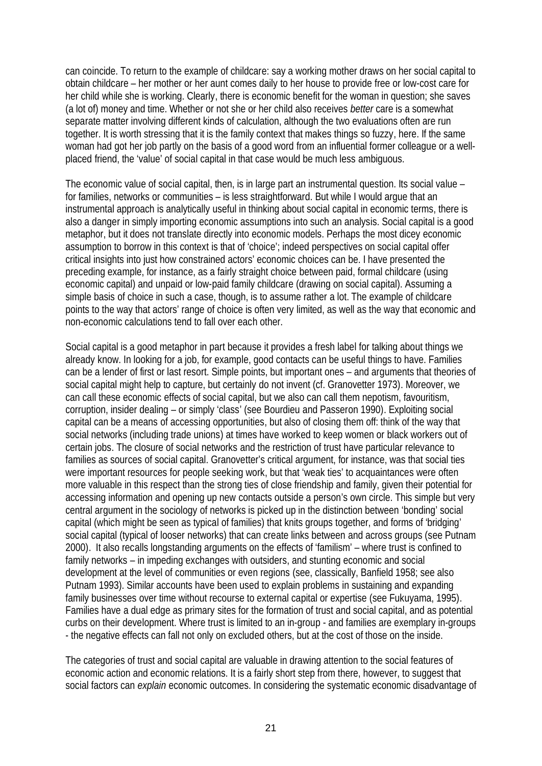can coincide. To return to the example of childcare: say a working mother draws on her social capital to obtain childcare – her mother or her aunt comes daily to her house to provide free or low-cost care for her child while she is working. Clearly, there is economic benefit for the woman in question; she saves (a lot of) money and time. Whether or not she or her child also receives *better* care is a somewhat separate matter involving different kinds of calculation, although the two evaluations often are run together. It is worth stressing that it is the family context that makes things so fuzzy, here. If the same woman had got her job partly on the basis of a good word from an influential former colleague or a wellplaced friend, the 'value' of social capital in that case would be much less ambiguous.

The economic value of social capital, then, is in large part an instrumental question. Its social value – for families, networks or communities – is less straightforward. But while I would argue that an instrumental approach is analytically useful in thinking about social capital in economic terms, there is also a danger in simply importing economic assumptions into such an analysis. Social capital is a good metaphor, but it does not translate directly into economic models. Perhaps the most dicey economic assumption to borrow in this context is that of 'choice'; indeed perspectives on social capital offer critical insights into just how constrained actors' economic choices can be. I have presented the preceding example, for instance, as a fairly straight choice between paid, formal childcare (using economic capital) and unpaid or low-paid family childcare (drawing on social capital). Assuming a simple basis of choice in such a case, though, is to assume rather a lot. The example of childcare points to the way that actors' range of choice is often very limited, as well as the way that economic and non-economic calculations tend to fall over each other.

Social capital is a good metaphor in part because it provides a fresh label for talking about things we already know. In looking for a job, for example, good contacts can be useful things to have. Families can be a lender of first or last resort. Simple points, but important ones – and arguments that theories of social capital might help to capture, but certainly do not invent (cf. Granovetter 1973). Moreover, we can call these economic effects of social capital, but we also can call them nepotism, favouritism, corruption, insider dealing – or simply 'class' (see Bourdieu and Passeron 1990). Exploiting social capital can be a means of accessing opportunities, but also of closing them off: think of the way that social networks (including trade unions) at times have worked to keep women or black workers out of certain jobs. The closure of social networks and the restriction of trust have particular relevance to families as sources of social capital. Granovetter's critical argument, for instance, was that social ties were important resources for people seeking work, but that 'weak ties' to acquaintances were often more valuable in this respect than the strong ties of close friendship and family, given their potential for accessing information and opening up new contacts outside a person's own circle. This simple but very central argument in the sociology of networks is picked up in the distinction between 'bonding' social capital (which might be seen as typical of families) that knits groups together, and forms of 'bridging' social capital (typical of looser networks) that can create links between and across groups (see Putnam 2000). It also recalls longstanding arguments on the effects of 'familism' – where trust is confined to family networks – in impeding exchanges with outsiders, and stunting economic and social development at the level of communities or even regions (see, classically, Banfield 1958; see also Putnam 1993). Similar accounts have been used to explain problems in sustaining and expanding family businesses over time without recourse to external capital or expertise (see Fukuyama, 1995). Families have a dual edge as primary sites for the formation of trust and social capital, and as potential curbs on their development. Where trust is limited to an in-group - and families are exemplary in-groups - the negative effects can fall not only on excluded others, but at the cost of those on the inside.

The categories of trust and social capital are valuable in drawing attention to the social features of economic action and economic relations. It is a fairly short step from there, however, to suggest that social factors can *explain* economic outcomes. In considering the systematic economic disadvantage of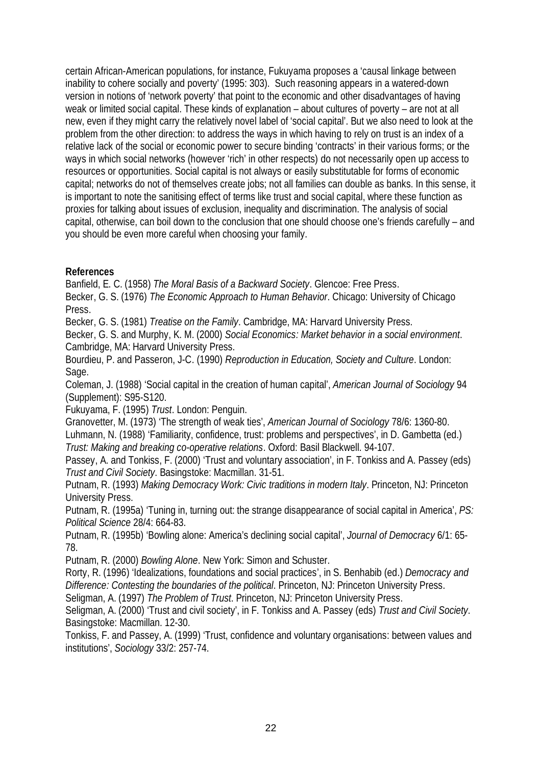certain African-American populations, for instance, Fukuyama proposes a 'causal linkage between inability to cohere socially and poverty' (1995: 303). Such reasoning appears in a watered-down version in notions of 'network poverty' that point to the economic and other disadvantages of having weak or limited social capital. These kinds of explanation – about cultures of poverty – are not at all new, even if they might carry the relatively novel label of 'social capital'. But we also need to look at the problem from the other direction: to address the ways in which having to rely on trust is an index of a relative lack of the social or economic power to secure binding 'contracts' in their various forms; or the ways in which social networks (however 'rich' in other respects) do not necessarily open up access to resources or opportunities. Social capital is not always or easily substitutable for forms of economic capital; networks do not of themselves create jobs; not all families can double as banks. In this sense, it is important to note the sanitising effect of terms like trust and social capital, where these function as proxies for talking about issues of exclusion, inequality and discrimination. The analysis of social capital, otherwise, can boil down to the conclusion that one should choose one's friends carefully – and you should be even more careful when choosing your family.

**References**

Banfield, E. C. (1958) *The Moral Basis of a Backward Society*. Glencoe: Free Press.

Becker, G. S. (1976) *The Economic Approach to Human Behavior*. Chicago: University of Chicago Press.

Becker, G. S. (1981) *Treatise on the Family*. Cambridge, MA: Harvard University Press.

Becker, G. S. and Murphy, K. M. (2000) *Social Economics: Market behavior in a social environment*. Cambridge, MA: Harvard University Press.

Bourdieu, P. and Passeron, J-C. (1990) *Reproduction in Education, Society and Culture*. London: Sage.

Coleman, J. (1988) 'Social capital in the creation of human capital', *American Journal of Sociology* 94 (Supplement): S95-S120.

Fukuyama, F. (1995) *Trust*. London: Penguin.

Granovetter, M. (1973) 'The strength of weak ties', *American Journal of Sociology* 78/6: 1360-80.

Luhmann, N. (1988) 'Familiarity, confidence, trust: problems and perspectives', in D. Gambetta (ed.) *Trust: Making and breaking co-operative relations*. Oxford: Basil Blackwell. 94-107.

Passey, A. and Tonkiss, F. (2000) 'Trust and voluntary association', in F. Tonkiss and A. Passey (eds) *Trust and Civil Society*. Basingstoke: Macmillan. 31-51.

Putnam, R. (1993) *Making Democracy Work: Civic traditions in modern Italy*. Princeton, NJ: Princeton University Press.

Putnam, R. (1995a) 'Tuning in, turning out: the strange disappearance of social capital in America', *PS: Political Science* 28/4: 664-83.

Putnam, R. (1995b) 'Bowling alone: America's declining social capital', *Journal of Democracy* 6/1: 65- 78.

Putnam, R. (2000) *Bowling Alone*. New York: Simon and Schuster.

Rorty, R. (1996) 'Idealizations, foundations and social practices', in S. Benhabib (ed.) *Democracy and Difference: Contesting the boundaries of the political*. Princeton, NJ: Princeton University Press.

Seligman, A. (1997) *The Problem of Trust*. Princeton, NJ: Princeton University Press.

Seligman, A. (2000) 'Trust and civil society', in F. Tonkiss and A. Passey (eds) *Trust and Civil Society*. Basingstoke: Macmillan. 12-30.

Tonkiss, F. and Passey, A. (1999) 'Trust, confidence and voluntary organisations: between values and institutions', *Sociology* 33/2: 257-74.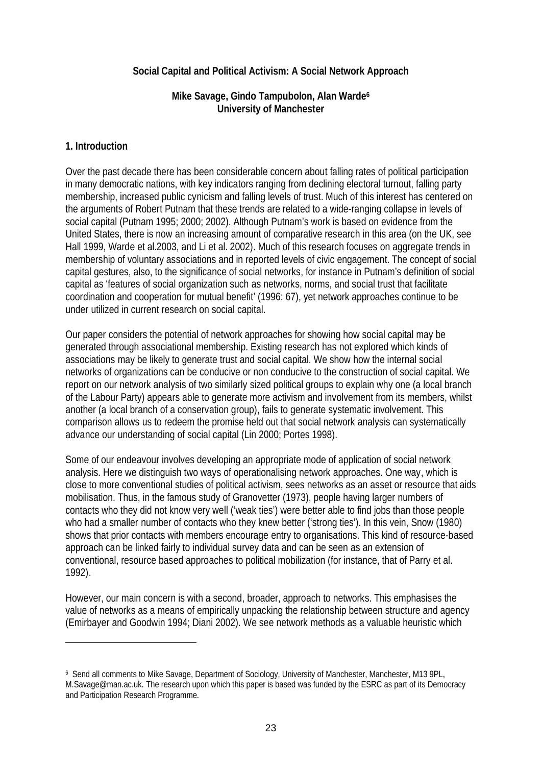#### **Social Capital and Political Activism: A Social Network Approach**

**Mike Savage, Gindo Tampubolon, Alan Warde6 University of Manchester**

#### **1. Introduction**

 $\overline{a}$ 

Over the past decade there has been considerable concern about falling rates of political participation in many democratic nations, with key indicators ranging from declining electoral turnout, falling party membership, increased public cynicism and falling levels of trust. Much of this interest has centered on the arguments of Robert Putnam that these trends are related to a wide-ranging collapse in levels of social capital (Putnam 1995; 2000; 2002). Although Putnam's work is based on evidence from the United States, there is now an increasing amount of comparative research in this area (on the UK, see Hall 1999, Warde et al.2003, and Li et al. 2002). Much of this research focuses on aggregate trends in membership of voluntary associations and in reported levels of civic engagement. The concept of social capital gestures, also, to the significance of social networks, for instance in Putnam's definition of social capital as 'features of social organization such as networks, norms, and social trust that facilitate coordination and cooperation for mutual benefit' (1996: 67), yet network approaches continue to be under utilized in current research on social capital.

Our paper considers the potential of network approaches for showing how social capital may be generated through associational membership. Existing research has not explored which kinds of associations may be likely to generate trust and social capital. We show how the internal social networks of organizations can be conducive or non conducive to the construction of social capital. We report on our network analysis of two similarly sized political groups to explain why one (a local branch of the Labour Party) appears able to generate more activism and involvement from its members, whilst another (a local branch of a conservation group), fails to generate systematic involvement. This comparison allows us to redeem the promise held out that social network analysis can systematically advance our understanding of social capital (Lin 2000; Portes 1998).

Some of our endeavour involves developing an appropriate mode of application of social network analysis. Here we distinguish two ways of operationalising network approaches. One way, which is close to more conventional studies of political activism, sees networks as an asset or resource that aids mobilisation. Thus, in the famous study of Granovetter (1973), people having larger numbers of contacts who they did not know very well ('weak ties') were better able to find jobs than those people who had a smaller number of contacts who they knew better ('strong ties'). In this vein, Snow (1980) shows that prior contacts with members encourage entry to organisations. This kind of resource-based approach can be linked fairly to individual survey data and can be seen as an extension of conventional, resource based approaches to political mobilization (for instance, that of Parry et al. 1992).

However, our main concern is with a second, broader, approach to networks. This emphasises the value of networks as a means of empirically unpacking the relationship between structure and agency (Emirbayer and Goodwin 1994; Diani 2002). We see network methods as a valuable heuristic which

<sup>6</sup> Send all comments to Mike Savage, Department of Sociology, University of Manchester, Manchester, M13 9PL, M.Savage@man.ac.uk. The research upon which this paper is based was funded by the ESRC as part of its Democracy and Participation Research Programme.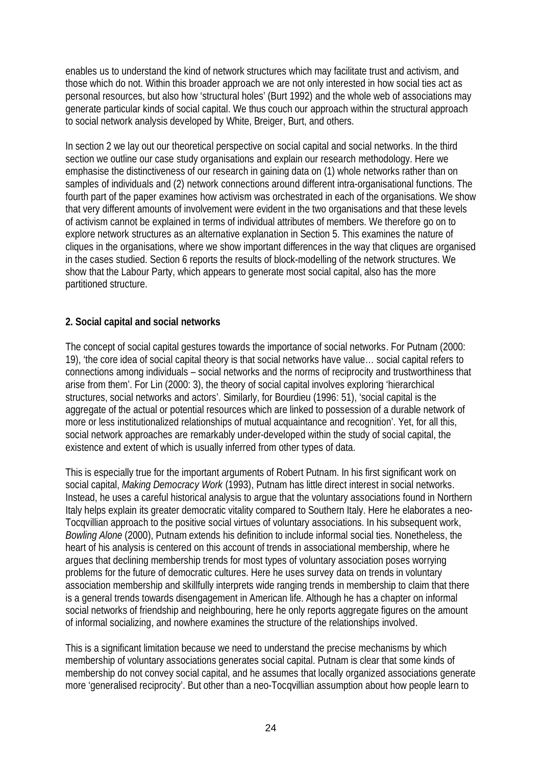enables us to understand the kind of network structures which may facilitate trust and activism, and those which do not. Within this broader approach we are not only interested in how social ties act as personal resources, but also how 'structural holes' (Burt 1992) and the whole web of associations may generate particular kinds of social capital. We thus couch our approach within the structural approach to social network analysis developed by White, Breiger, Burt, and others.

In section 2 we lay out our theoretical perspective on social capital and social networks. In the third section we outline our case study organisations and explain our research methodology. Here we emphasise the distinctiveness of our research in gaining data on (1) whole networks rather than on samples of individuals and (2) network connections around different intra-organisational functions. The fourth part of the paper examines how activism was orchestrated in each of the organisations. We show that very different amounts of involvement were evident in the two organisations and that these levels of activism cannot be explained in terms of individual attributes of members. We therefore go on to explore network structures as an alternative explanation in Section 5. This examines the nature of cliques in the organisations, where we show important differences in the way that cliques are organised in the cases studied. Section 6 reports the results of block-modelling of the network structures. We show that the Labour Party, which appears to generate most social capital, also has the more partitioned structure.

#### **2. Social capital and social networks**

The concept of social capital gestures towards the importance of social networks. For Putnam (2000: 19), 'the core idea of social capital theory is that social networks have value… social capital refers to connections among individuals – social networks and the norms of reciprocity and trustworthiness that arise from them'. For Lin (2000: 3), the theory of social capital involves exploring 'hierarchical structures, social networks and actors'. Similarly, for Bourdieu (1996: 51), 'social capital is the aggregate of the actual or potential resources which are linked to possession of a durable network of more or less institutionalized relationships of mutual acquaintance and recognition'. Yet, for all this, social network approaches are remarkably under-developed within the study of social capital, the existence and extent of which is usually inferred from other types of data.

This is especially true for the important arguments of Robert Putnam. In his first significant work on social capital, *Making Democracy Work* (1993), Putnam has little direct interest in social networks. Instead, he uses a careful historical analysis to argue that the voluntary associations found in Northern Italy helps explain its greater democratic vitality compared to Southern Italy. Here he elaborates a neo-Tocqvillian approach to the positive social virtues of voluntary associations. In his subsequent work, *Bowling Alone* (2000), Putnam extends his definition to include informal social ties. Nonetheless, the heart of his analysis is centered on this account of trends in associational membership, where he argues that declining membership trends for most types of voluntary association poses worrying problems for the future of democratic cultures. Here he uses survey data on trends in voluntary association membership and skillfully interprets wide ranging trends in membership to claim that there is a general trends towards disengagement in American life. Although he has a chapter on informal social networks of friendship and neighbouring, here he only reports aggregate figures on the amount of informal socializing, and nowhere examines the structure of the relationships involved.

This is a significant limitation because we need to understand the precise mechanisms by which membership of voluntary associations generates social capital. Putnam is clear that some kinds of membership do not convey social capital, and he assumes that locally organized associations generate more 'generalised reciprocity'. But other than a neo-Tocqvillian assumption about how people learn to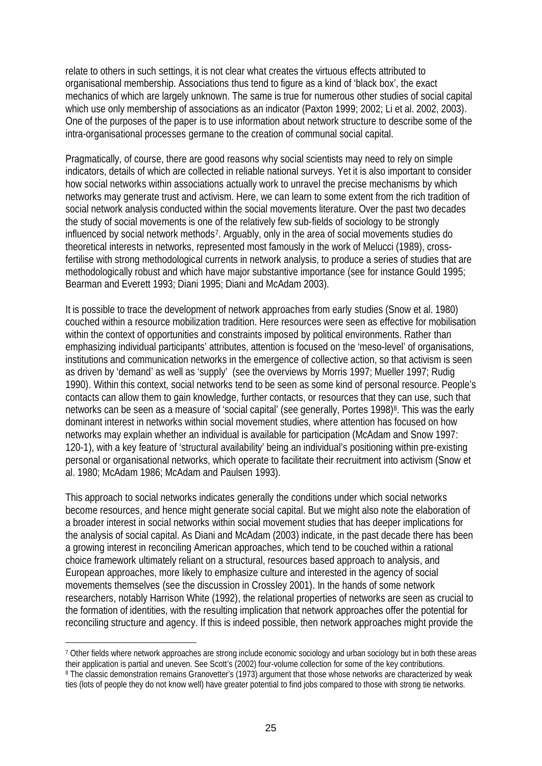relate to others in such settings, it is not clear what creates the virtuous effects attributed to organisational membership. Associations thus tend to figure as a kind of 'black box', the exact mechanics of which are largely unknown. The same is true for numerous other studies of social capital which use only membership of associations as an indicator (Paxton 1999; 2002; Li et al. 2002, 2003). One of the purposes of the paper is to use information about network structure to describe some of the intra-organisational processes germane to the creation of communal social capital.

Pragmatically, of course, there are good reasons why social scientists may need to rely on simple indicators, details of which are collected in reliable national surveys. Yet it is also important to consider how social networks within associations actually work to unravel the precise mechanisms by which networks may generate trust and activism. Here, we can learn to some extent from the rich tradition of social network analysis conducted within the social movements literature. Over the past two decades the study of social movements is one of the relatively few sub-fields of sociology to be strongly influenced by social network methods7. Arguably, only in the area of social movements studies do theoretical interests in networks, represented most famously in the work of Melucci (1989), crossfertilise with strong methodological currents in network analysis, to produce a series of studies that are methodologically robust and which have major substantive importance (see for instance Gould 1995; Bearman and Everett 1993; Diani 1995; Diani and McAdam 2003).

It is possible to trace the development of network approaches from early studies (Snow et al. 1980) couched within a resource mobilization tradition. Here resources were seen as effective for mobilisation within the context of opportunities and constraints imposed by political environments. Rather than emphasizing individual participants' attributes, attention is focused on the 'meso-level' of organisations, institutions and communication networks in the emergence of collective action, so that activism is seen as driven by 'demand' as well as 'supply' (see the overviews by Morris 1997; Mueller 1997; Rudig 1990). Within this context, social networks tend to be seen as some kind of personal resource. People's contacts can allow them to gain knowledge, further contacts, or resources that they can use, such that networks can be seen as a measure of 'social capital' (see generally, Portes 1998)<sup>8</sup>. This was the early dominant interest in networks within social movement studies, where attention has focused on how networks may explain whether an individual is available for participation (McAdam and Snow 1997: 120-1), with a key feature of 'structural availability' being an individual's positioning within pre-existing personal or organisational networks, which operate to facilitate their recruitment into activism (Snow et al. 1980; McAdam 1986; McAdam and Paulsen 1993).

This approach to social networks indicates generally the conditions under which social networks become resources, and hence might generate social capital. But we might also note the elaboration of a broader interest in social networks within social movement studies that has deeper implications for the analysis of social capital. As Diani and McAdam (2003) indicate, in the past decade there has been a growing interest in reconciling American approaches, which tend to be couched within a rational choice framework ultimately reliant on a structural, resources based approach to analysis, and European approaches, more likely to emphasize culture and interested in the agency of social movements themselves (see the discussion in Crossley 2001). In the hands of some network researchers, notably Harrison White (1992), the relational properties of networks are seen as crucial to the formation of identities, with the resulting implication that network approaches offer the potential for reconciling structure and agency. If this is indeed possible, then network approaches might provide the

 $\overline{a}$ 

<sup>7</sup> Other fields where network approaches are strong include economic sociology and urban sociology but in both these areas their application is partial and uneven. See Scott's (2002) four-volume collection for some of the key contributions. 8 The classic demonstration remains Granovetter's (1973) argument that those whose networks are characterized by weak ties (lots of people they do not know well) have greater potential to find jobs compared to those with strong tie networks.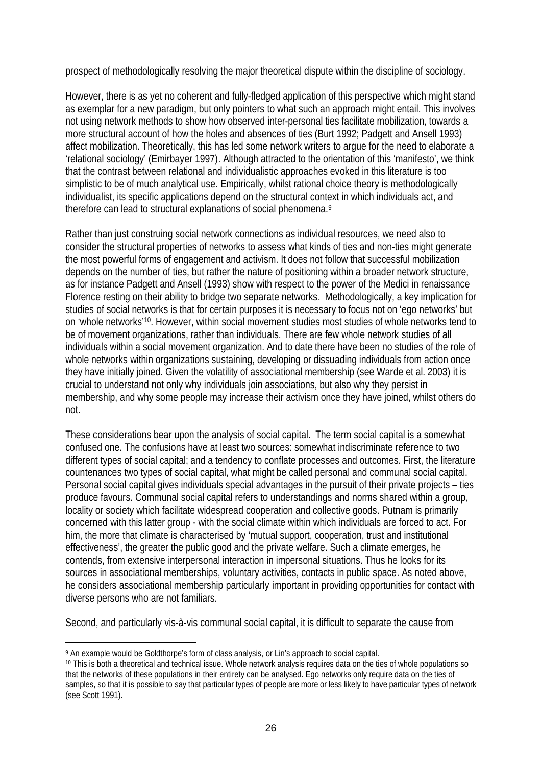prospect of methodologically resolving the major theoretical dispute within the discipline of sociology.

However, there is as yet no coherent and fully-fledged application of this perspective which might stand as exemplar for a new paradigm, but only pointers to what such an approach might entail. This involves not using network methods to show how observed inter-personal ties facilitate mobilization, towards a more structural account of how the holes and absences of ties (Burt 1992; Padgett and Ansell 1993) affect mobilization. Theoretically, this has led some network writers to argue for the need to elaborate a 'relational sociology' (Emirbayer 1997). Although attracted to the orientation of this 'manifesto', we think that the contrast between relational and individualistic approaches evoked in this literature is too simplistic to be of much analytical use. Empirically, whilst rational choice theory is methodologically individualist, its specific applications depend on the structural context in which individuals act, and therefore can lead to structural explanations of social phenomena.9

Rather than just construing social network connections as individual resources, we need also to consider the structural properties of networks to assess what kinds of ties and non-ties might generate the most powerful forms of engagement and activism. It does not follow that successful mobilization depends on the number of ties, but rather the nature of positioning within a broader network structure, as for instance Padgett and Ansell (1993) show with respect to the power of the Medici in renaissance Florence resting on their ability to bridge two separate networks. Methodologically, a key implication for studies of social networks is that for certain purposes it is necessary to focus not on 'ego networks' but on 'whole networks'10. However, within social movement studies most studies of whole networks tend to be of movement organizations, rather than individuals. There are few whole network studies of all individuals within a social movement organization. And to date there have been no studies of the role of whole networks within organizations sustaining, developing or dissuading individuals from action once they have initially joined. Given the volatility of associational membership (see Warde et al. 2003) it is crucial to understand not only why individuals join associations, but also why they persist in membership, and why some people may increase their activism once they have joined, whilst others do not.

These considerations bear upon the analysis of social capital. The term social capital is a somewhat confused one. The confusions have at least two sources: somewhat indiscriminate reference to two different types of social capital; and a tendency to conflate processes and outcomes. First, the literature countenances two types of social capital, what might be called personal and communal social capital. Personal social capital gives individuals special advantages in the pursuit of their private projects – ties produce favours. Communal social capital refers to understandings and norms shared within a group, locality or society which facilitate widespread cooperation and collective goods. Putnam is primarily concerned with this latter group - with the social climate within which individuals are forced to act. For him, the more that climate is characterised by 'mutual support, cooperation, trust and institutional effectiveness', the greater the public good and the private welfare. Such a climate emerges, he contends, from extensive interpersonal interaction in impersonal situations. Thus he looks for its sources in associational memberships, voluntary activities, contacts in public space. As noted above, he considers associational membership particularly important in providing opportunities for contact with diverse persons who are not familiars.

Second, and particularly vis-à-vis communal social capital, it is difficult to separate the cause from

 $\overline{a}$ 

<sup>9</sup> An example would be Goldthorpe's form of class analysis, or Lin's approach to social capital.

<sup>10</sup> This is both a theoretical and technical issue. Whole network analysis requires data on the ties of whole populations so that the networks of these populations in their entirety can be analysed. Ego networks only require data on the ties of samples, so that it is possible to say that particular types of people are more or less likely to have particular types of network (see Scott 1991).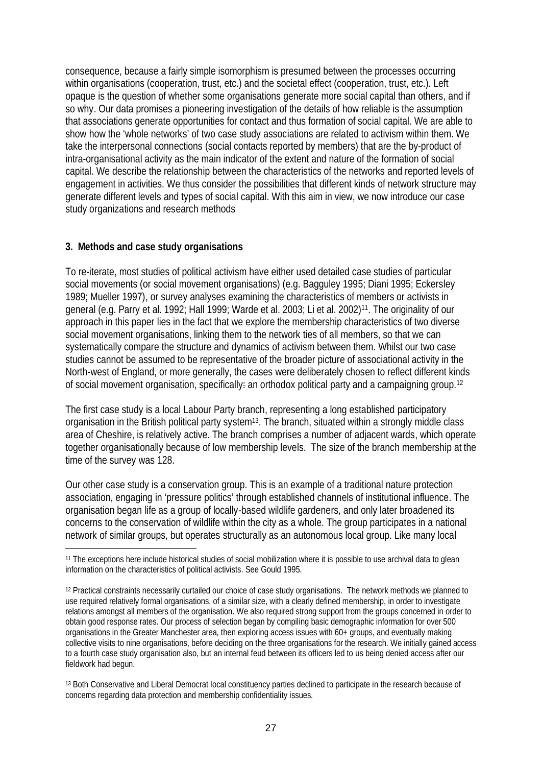consequence, because a fairly simple isomorphism is presumed between the processes occurring within organisations (cooperation, trust, etc.) and the societal effect (cooperation, trust, etc.). Left opaque is the question of whether some organisations generate more social capital than others, and if so why. Our data promises a pioneering investigation of the details of how reliable is the assumption that associations generate opportunities for contact and thus formation of social capital. We are able to show how the 'whole networks' of two case study associations are related to activism within them. We take the interpersonal connections (social contacts reported by members) that are the by-product of intra-organisational activity as the main indicator of the extent and nature of the formation of social capital. We describe the relationship between the characteristics of the networks and reported levels of engagement in activities. We thus consider the possibilities that different kinds of network structure may generate different levels and types of social capital. With this aim in view, we now introduce our case study organizations and research methods

#### **3. Methods and case study organisations**

 $\overline{a}$ 

To re-iterate, most studies of political activism have either used detailed case studies of particular social movements (or social movement organisations) (e.g. Bagguley 1995; Diani 1995; Eckersley 1989; Mueller 1997), or survey analyses examining the characteristics of members or activists in general (e.g. Parry et al. 1992; Hall 1999; Warde et al. 2003; Li et al. 2002)11. The originality of our approach in this paper lies in the fact that we explore the membership characteristics of two diverse social movement organisations, linking them to the network ties of all members, so that we can systematically compare the structure and dynamics of activism between them. Whilst our two case studies cannot be assumed to be representative of the broader picture of associational activity in the North-west of England, or more generally, the cases were deliberately chosen to reflect different kinds of social movement organisation, specifically: an orthodox political party and a campaigning group.<sup>12</sup>

The first case study is a local Labour Party branch, representing a long established participatory organisation in the British political party system<sup>13</sup>. The branch, situated within a strongly middle class area of Cheshire, is relatively active. The branch comprises a number of adjacent wards, which operate together organisationally because of low membership levels. The size of the branch membership at the time of the survey was 128.

Our other case study is a conservation group. This is an example of a traditional nature protection association, engaging in 'pressure politics' through established channels of institutional influence. The organisation began life as a group of locally-based wildlife gardeners, and only later broadened its concerns to the conservation of wildlife within the city as a whole. The group participates in a national network of similar groups, but operates structurally as an autonomous local group. Like many local

<sup>11</sup> The exceptions here include historical studies of social mobilization where it is possible to use archival data to glean information on the characteristics of political activists. See Gould 1995.

<sup>12</sup> Practical constraints necessarily curtailed our choice of case study organisations. The network methods we planned to use required relatively formal organisations, of a similar size, with a clearly defined membership, in order to investigate relations amongst all members of the organisation. We also required strong support from the groups concerned in order to obtain good response rates. Our process of selection began by compiling basic demographic information for over 500 organisations in the Greater Manchester area, then exploring access issues with 60+ groups, and eventually making collective visits to nine organisations, before deciding on the three organisations for the research. We initially gained access to a fourth case study organisation also, but an internal feud between its officers led to us being denied access after our fieldwork had begun.

<sup>13</sup> Both Conservative and Liberal Democrat local constituency parties declined to participate in the research because of concerns regarding data protection and membership confidentiality issues.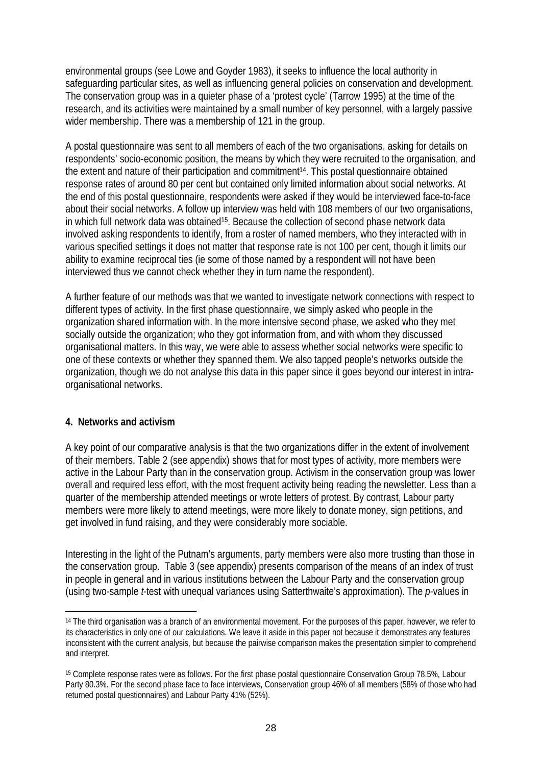environmental groups (see Lowe and Goyder 1983), it seeks to influence the local authority in safeguarding particular sites, as well as influencing general policies on conservation and development. The conservation group was in a quieter phase of a 'protest cycle' (Tarrow 1995) at the time of the research, and its activities were maintained by a small number of key personnel, with a largely passive wider membership. There was a membership of 121 in the group.

A postal questionnaire was sent to all members of each of the two organisations, asking for details on respondents' socio-economic position, the means by which they were recruited to the organisation, and the extent and nature of their participation and commitment14. This postal questionnaire obtained response rates of around 80 per cent but contained only limited information about social networks. At the end of this postal questionnaire, respondents were asked if they would be interviewed face-to-face about their social networks. A follow up interview was held with 108 members of our two organisations, in which full network data was obtained15. Because the collection of second phase network data involved asking respondents to identify, from a roster of named members, who they interacted with in various specified settings it does not matter that response rate is not 100 per cent, though it limits our ability to examine reciprocal ties (ie some of those named by a respondent will not have been interviewed thus we cannot check whether they in turn name the respondent).

A further feature of our methods was that we wanted to investigate network connections with respect to different types of activity. In the first phase questionnaire, we simply asked who people in the organization shared information with. In the more intensive second phase, we asked who they met socially outside the organization; who they got information from, and with whom they discussed organisational matters. In this way, we were able to assess whether social networks were specific to one of these contexts or whether they spanned them. We also tapped people's networks outside the organization, though we do not analyse this data in this paper since it goes beyond our interest in intraorganisational networks.

#### **4. Networks and activism**

 $\overline{a}$ 

A key point of our comparative analysis is that the two organizations differ in the extent of involvement of their members. Table 2 (see appendix) shows that for most types of activity, more members were active in the Labour Party than in the conservation group. Activism in the conservation group was lower overall and required less effort, with the most frequent activity being reading the newsletter. Less than a quarter of the membership attended meetings or wrote letters of protest. By contrast, Labour party members were more likely to attend meetings, were more likely to donate money, sign petitions, and get involved in fund raising, and they were considerably more sociable.

Interesting in the light of the Putnam's arguments, party members were also more trusting than those in the conservation group. Table 3 (see appendix) presents comparison of the means of an index of trust in people in general and in various institutions between the Labour Party and the conservation group (using two-sample *t*-test with unequal variances using Satterthwaite's approximation). The *p*-values in

<sup>14</sup> The third organisation was a branch of an environmental movement. For the purposes of this paper, however, we refer to its characteristics in only one of our calculations. We leave it aside in this paper not because it demonstrates any features inconsistent with the current analysis, but because the pairwise comparison makes the presentation simpler to comprehend and interpret.

<sup>15</sup> Complete response rates were as follows. For the first phase postal questionnaire Conservation Group 78.5%, Labour Party 80.3%. For the second phase face to face interviews, Conservation group 46% of all members (58% of those who had returned postal questionnaires) and Labour Party 41% (52%).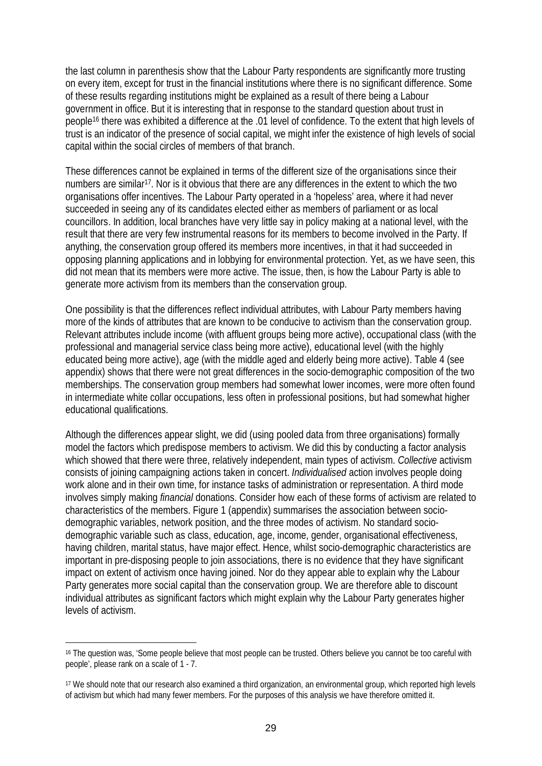the last column in parenthesis show that the Labour Party respondents are significantly more trusting on every item, except for trust in the financial institutions where there is no significant difference. Some of these results regarding institutions might be explained as a result of there being a Labour government in office. But it is interesting that in response to the standard question about trust in people16 there was exhibited a difference at the .01 level of confidence. To the extent that high levels of trust is an indicator of the presence of social capital, we might infer the existence of high levels of social capital within the social circles of members of that branch.

These differences cannot be explained in terms of the different size of the organisations since their numbers are similar<sup>17</sup>. Nor is it obvious that there are any differences in the extent to which the two organisations offer incentives. The Labour Party operated in a 'hopeless' area, where it had never succeeded in seeing any of its candidates elected either as members of parliament or as local councillors. In addition, local branches have very little say in policy making at a national level, with the result that there are very few instrumental reasons for its members to become involved in the Party. If anything, the conservation group offered its members more incentives, in that it had succeeded in opposing planning applications and in lobbying for environmental protection. Yet, as we have seen, this did not mean that its members were more active. The issue, then, is how the Labour Party is able to generate more activism from its members than the conservation group.

One possibility is that the differences reflect individual attributes, with Labour Party members having more of the kinds of attributes that are known to be conducive to activism than the conservation group. Relevant attributes include income (with affluent groups being more active), occupational class (with the professional and managerial service class being more active), educational level (with the highly educated being more active), age (with the middle aged and elderly being more active). Table 4 (see appendix) shows that there were not great differences in the socio-demographic composition of the two memberships. The conservation group members had somewhat lower incomes, were more often found in intermediate white collar occupations, less often in professional positions, but had somewhat higher educational qualifications.

Although the differences appear slight, we did (using pooled data from three organisations) formally model the factors which predispose members to activism. We did this by conducting a factor analysis which showed that there were three, relatively independent, main types of activism. *Collective* activism consists of joining campaigning actions taken in concert. *Individualised* action involves people doing work alone and in their own time, for instance tasks of administration or representation. A third mode involves simply making *financial* donations. Consider how each of these forms of activism are related to characteristics of the members. Figure 1 (appendix) summarises the association between sociodemographic variables, network position, and the three modes of activism. No standard sociodemographic variable such as class, education, age, income, gender, organisational effectiveness, having children, marital status, have major effect. Hence, whilst socio-demographic characteristics are important in pre-disposing people to join associations, there is no evidence that they have significant impact on extent of activism once having joined. Nor do they appear able to explain why the Labour Party generates more social capital than the conservation group. We are therefore able to discount individual attributes as significant factors which might explain why the Labour Party generates higher levels of activism.

 $\overline{a}$ 

<sup>16</sup> The question was, 'Some people believe that most people can be trusted. Others believe you cannot be too careful with people', please rank on a scale of 1 - 7.

<sup>17</sup> We should note that our research also examined a third organization, an environmental group, which reported high levels of activism but which had many fewer members. For the purposes of this analysis we have therefore omitted it.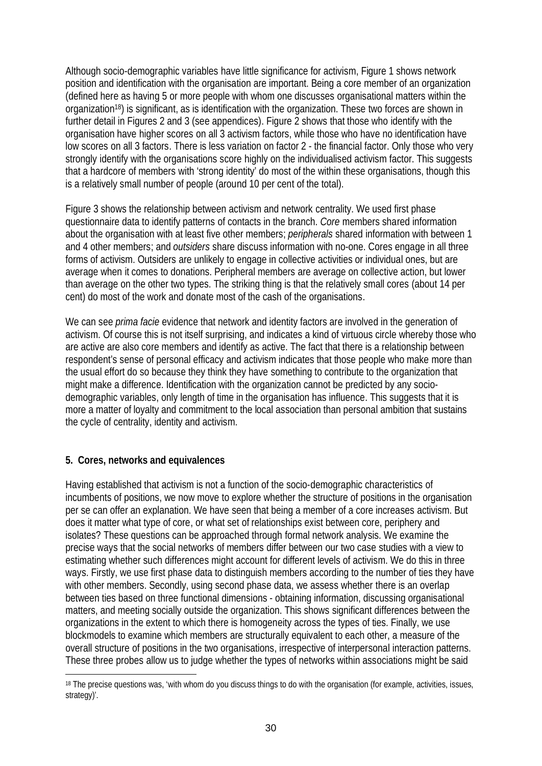Although socio-demographic variables have little significance for activism, Figure 1 shows network position and identification with the organisation are important. Being a core member of an organization (defined here as having 5 or more people with whom one discusses organisational matters within the organization18) is significant, as is identification with the organization. These two forces are shown in further detail in Figures 2 and 3 (see appendices). Figure 2 shows that those who identify with the organisation have higher scores on all 3 activism factors, while those who have no identification have low scores on all 3 factors. There is less variation on factor 2 - the financial factor. Only those who very strongly identify with the organisations score highly on the individualised activism factor. This suggests that a hardcore of members with 'strong identity' do most of the within these organisations, though this is a relatively small number of people (around 10 per cent of the total).

Figure 3 shows the relationship between activism and network centrality. We used first phase questionnaire data to identify patterns of contacts in the branch. *Core* members shared information about the organisation with at least five other members; *peripherals* shared information with between 1 and 4 other members; and *outsiders* share discuss information with no-one. Cores engage in all three forms of activism. Outsiders are unlikely to engage in collective activities or individual ones, but are average when it comes to donations. Peripheral members are average on collective action, but lower than average on the other two types. The striking thing is that the relatively small cores (about 14 per cent) do most of the work and donate most of the cash of the organisations.

We can see *prima facie* evidence that network and identity factors are involved in the generation of activism. Of course this is not itself surprising, and indicates a kind of virtuous circle whereby those who are active are also core members and identify as active. The fact that there is a relationship between respondent's sense of personal efficacy and activism indicates that those people who make more than the usual effort do so because they think they have something to contribute to the organization that might make a difference. Identification with the organization cannot be predicted by any sociodemographic variables, only length of time in the organisation has influence. This suggests that it is more a matter of loyalty and commitment to the local association than personal ambition that sustains the cycle of centrality, identity and activism.

#### **5. Cores, networks and equivalences**

Having established that activism is not a function of the socio-demographic characteristics of incumbents of positions, we now move to explore whether the structure of positions in the organisation per se can offer an explanation. We have seen that being a member of a core increases activism. But does it matter what type of core, or what set of relationships exist between core, periphery and isolates? These questions can be approached through formal network analysis. We examine the precise ways that the social networks of members differ between our two case studies with a view to estimating whether such differences might account for different levels of activism. We do this in three ways. Firstly, we use first phase data to distinguish members according to the number of ties they have with other members. Secondly, using second phase data, we assess whether there is an overlap between ties based on three functional dimensions - obtaining information, discussing organisational matters, and meeting socially outside the organization. This shows significant differences between the organizations in the extent to which there is homogeneity across the types of ties. Finally, we use blockmodels to examine which members are structurally equivalent to each other, a measure of the overall structure of positions in the two organisations, irrespective of interpersonal interaction patterns. These three probes allow us to judge whether the types of networks within associations might be said

 $\overline{a}$ 18 The precise questions was, 'with whom do you discuss things to do with the organisation (for example, activities, issues, strategy)'.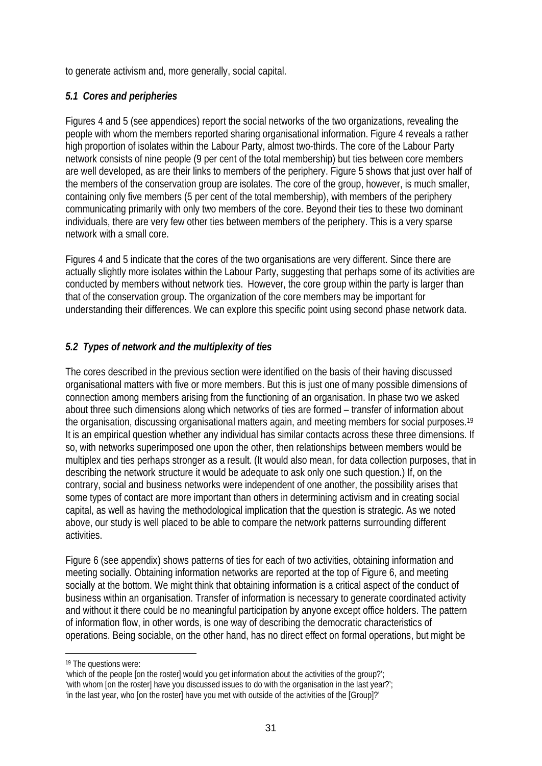to generate activism and, more generally, social capital.

#### *5.1 Cores and peripheries*

Figures 4 and 5 (see appendices) report the social networks of the two organizations, revealing the people with whom the members reported sharing organisational information. Figure 4 reveals a rather high proportion of isolates within the Labour Party, almost two-thirds. The core of the Labour Party network consists of nine people (9 per cent of the total membership) but ties between core members are well developed, as are their links to members of the periphery. Figure 5 shows that just over half of the members of the conservation group are isolates. The core of the group, however, is much smaller, containing only five members (5 per cent of the total membership), with members of the periphery communicating primarily with only two members of the core. Beyond their ties to these two dominant individuals, there are very few other ties between members of the periphery. This is a very sparse network with a small core.

Figures 4 and 5 indicate that the cores of the two organisations are very different. Since there are actually slightly more isolates within the Labour Party, suggesting that perhaps some of its activities are conducted by members without network ties. However, the core group within the party is larger than that of the conservation group. The organization of the core members may be important for understanding their differences. We can explore this specific point using second phase network data.

## *5.2 Types of network and the multiplexity of ties*

The cores described in the previous section were identified on the basis of their having discussed organisational matters with five or more members. But this is just one of many possible dimensions of connection among members arising from the functioning of an organisation. In phase two we asked about three such dimensions along which networks of ties are formed – transfer of information about the organisation, discussing organisational matters again, and meeting members for social purposes.19 It is an empirical question whether any individual has similar contacts across these three dimensions. If so, with networks superimposed one upon the other, then relationships between members would be multiplex and ties perhaps stronger as a result. (It would also mean, for data collection purposes, that in describing the network structure it would be adequate to ask only one such question.) If, on the contrary, social and business networks were independent of one another, the possibility arises that some types of contact are more important than others in determining activism and in creating social capital, as well as having the methodological implication that the question is strategic. As we noted above, our study is well placed to be able to compare the network patterns surrounding different activities.

Figure 6 (see appendix) shows patterns of ties for each of two activities, obtaining information and meeting socially. Obtaining information networks are reported at the top of Figure 6, and meeting socially at the bottom. We might think that obtaining information is a critical aspect of the conduct of business within an organisation. Transfer of information is necessary to generate coordinated activity and without it there could be no meaningful participation by anyone except office holders. The pattern of information flow, in other words, is one way of describing the democratic characteristics of operations. Being sociable, on the other hand, has no direct effect on formal operations, but might be

 $\overline{a}$ 

<sup>19</sup> The questions were:

<sup>&#</sup>x27;which of the people [on the roster] would you get information about the activities of the group?'; 'with whom [on the roster] have you discussed issues to do with the organisation in the last year?'; 'in the last year, who [on the roster] have you met with outside of the activities of the [Group]?'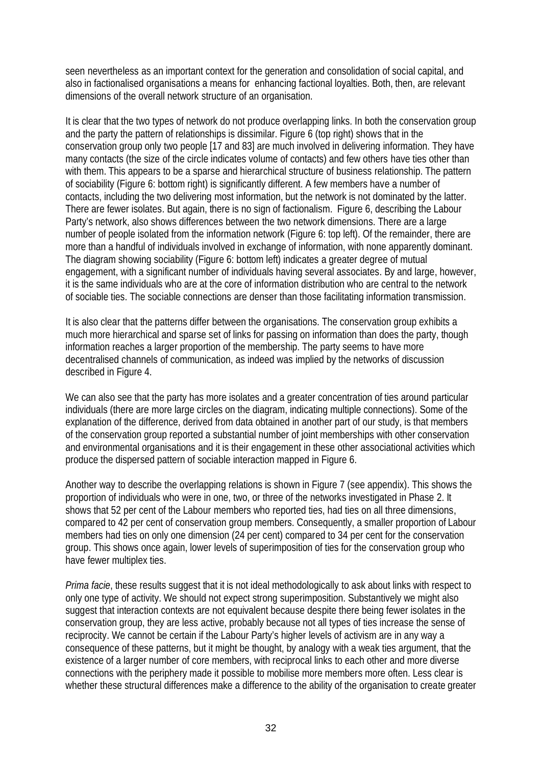seen nevertheless as an important context for the generation and consolidation of social capital, and also in factionalised organisations a means for enhancing factional loyalties. Both, then, are relevant dimensions of the overall network structure of an organisation.

It is clear that the two types of network do not produce overlapping links. In both the conservation group and the party the pattern of relationships is dissimilar. Figure 6 (top right) shows that in the conservation group only two people [17 and 83] are much involved in delivering information. They have many contacts (the size of the circle indicates volume of contacts) and few others have ties other than with them. This appears to be a sparse and hierarchical structure of business relationship. The pattern of sociability (Figure 6: bottom right) is significantly different. A few members have a number of contacts, including the two delivering most information, but the network is not dominated by the latter. There are fewer isolates. But again, there is no sign of factionalism. Figure 6, describing the Labour Party's network, also shows differences between the two network dimensions. There are a large number of people isolated from the information network (Figure 6: top left). Of the remainder, there are more than a handful of individuals involved in exchange of information, with none apparently dominant. The diagram showing sociability (Figure 6: bottom left) indicates a greater degree of mutual engagement, with a significant number of individuals having several associates. By and large, however, it is the same individuals who are at the core of information distribution who are central to the network of sociable ties. The sociable connections are denser than those facilitating information transmission.

It is also clear that the patterns differ between the organisations. The conservation group exhibits a much more hierarchical and sparse set of links for passing on information than does the party, though information reaches a larger proportion of the membership. The party seems to have more decentralised channels of communication, as indeed was implied by the networks of discussion described in Figure 4.

We can also see that the party has more isolates and a greater concentration of ties around particular individuals (there are more large circles on the diagram, indicating multiple connections). Some of the explanation of the difference, derived from data obtained in another part of our study, is that members of the conservation group reported a substantial number of joint memberships with other conservation and environmental organisations and it is their engagement in these other associational activities which produce the dispersed pattern of sociable interaction mapped in Figure 6.

Another way to describe the overlapping relations is shown in Figure 7 (see appendix). This shows the proportion of individuals who were in one, two, or three of the networks investigated in Phase 2. It shows that 52 per cent of the Labour members who reported ties, had ties on all three dimensions, compared to 42 per cent of conservation group members. Consequently, a smaller proportion of Labour members had ties on only one dimension (24 per cent) compared to 34 per cent for the conservation group. This shows once again, lower levels of superimposition of ties for the conservation group who have fewer multiplex ties.

*Prima facie*, these results suggest that it is not ideal methodologically to ask about links with respect to only one type of activity. We should not expect strong superimposition. Substantively we might also suggest that interaction contexts are not equivalent because despite there being fewer isolates in the conservation group, they are less active, probably because not all types of ties increase the sense of reciprocity. We cannot be certain if the Labour Party's higher levels of activism are in any way a consequence of these patterns, but it might be thought, by analogy with a weak ties argument, that the existence of a larger number of core members, with reciprocal links to each other and more diverse connections with the periphery made it possible to mobilise more members more often. Less clear is whether these structural differences make a difference to the ability of the organisation to create greater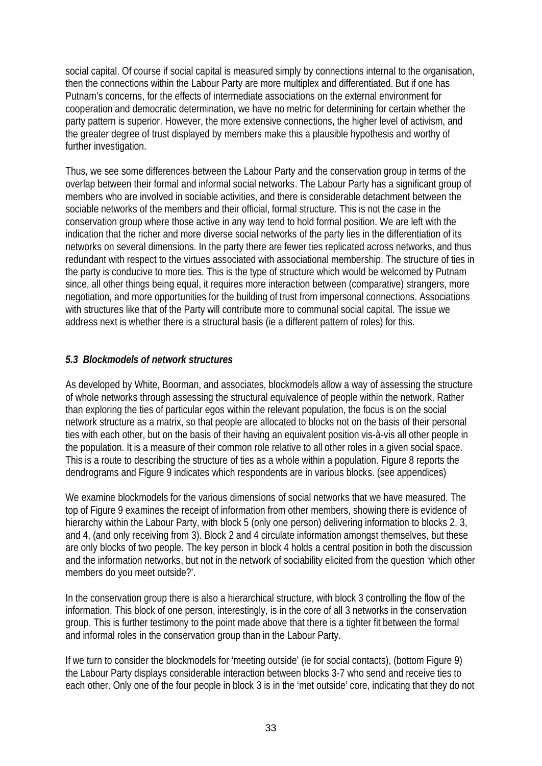social capital. Of course if social capital is measured simply by connections internal to the organisation, then the connections within the Labour Party are more multiplex and differentiated. But if one has Putnam's concerns, for the effects of intermediate associations on the external environment for cooperation and democratic determination, we have no metric for determining for certain whether the party pattern is superior. However, the more extensive connections, the higher level of activism, and the greater degree of trust displayed by members make this a plausible hypothesis and worthy of further investigation.

Thus, we see some differences between the Labour Party and the conservation group in terms of the overlap between their formal and informal social networks. The Labour Party has a significant group of members who are involved in sociable activities, and there is considerable detachment between the sociable networks of the members and their official, formal structure. This is not the case in the conservation group where those active in any way tend to hold formal position. We are left with the indication that the richer and more diverse social networks of the party lies in the differentiation of its networks on several dimensions. In the party there are fewer ties replicated across networks, and thus redundant with respect to the virtues associated with associational membership. The structure of ties in the party is conducive to more ties. This is the type of structure which would be welcomed by Putnam since, all other things being equal, it requires more interaction between (comparative) strangers, more negotiation, and more opportunities for the building of trust from impersonal connections. Associations with structures like that of the Party will contribute more to communal social capital. The issue we address next is whether there is a structural basis (ie a different pattern of roles) for this.

#### *5.3 Blockmodels of network structures*

As developed by White, Boorman, and associates, blockmodels allow a way of assessing the structure of whole networks through assessing the structural equivalence of people within the network. Rather than exploring the ties of particular egos within the relevant population, the focus is on the social network structure as a matrix, so that people are allocated to blocks not on the basis of their personal ties with each other, but on the basis of their having an equivalent position vis-à-vis all other people in the population. It is a measure of their common role relative to all other roles in a given social space. This is a route to describing the structure of ties as a whole within a population. Figure 8 reports the dendrograms and Figure 9 indicates which respondents are in various blocks. (see appendices)

We examine blockmodels for the various dimensions of social networks that we have measured. The top of Figure 9 examines the receipt of information from other members, showing there is evidence of hierarchy within the Labour Party, with block 5 (only one person) delivering information to blocks 2, 3, and 4, (and only receiving from 3). Block 2 and 4 circulate information amongst themselves, but these are only blocks of two people. The key person in block 4 holds a central position in both the discussion and the information networks, but not in the network of sociability elicited from the question 'which other members do you meet outside?'.

In the conservation group there is also a hierarchical structure, with block 3 controlling the flow of the information. This block of one person, interestingly, is in the core of all 3 networks in the conservation group. This is further testimony to the point made above that there is a tighter fit between the formal and informal roles in the conservation group than in the Labour Party.

If we turn to consider the blockmodels for 'meeting outside' (ie for social contacts), (bottom Figure 9) the Labour Party displays considerable interaction between blocks 3-7 who send and receive ties to each other. Only one of the four people in block 3 is in the 'met outside' core, indicating that they do not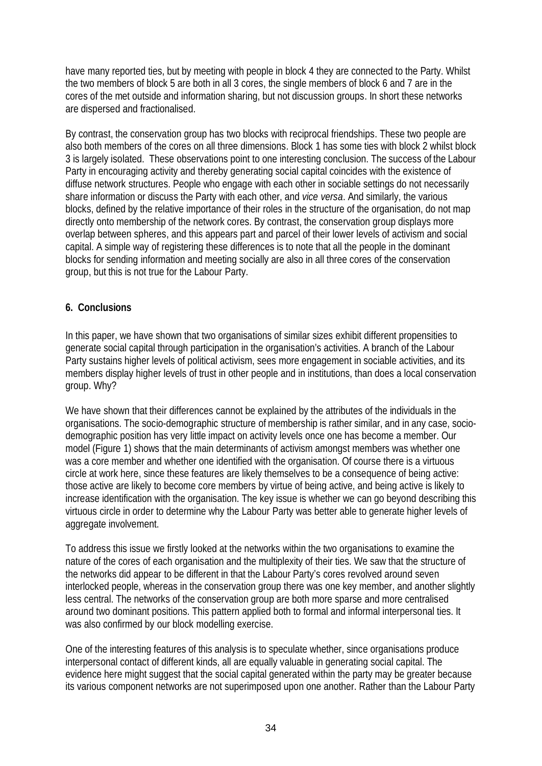have many reported ties, but by meeting with people in block 4 they are connected to the Party. Whilst the two members of block 5 are both in all 3 cores, the single members of block 6 and 7 are in the cores of the met outside and information sharing, but not discussion groups. In short these networks are dispersed and fractionalised.

By contrast, the conservation group has two blocks with reciprocal friendships. These two people are also both members of the cores on all three dimensions. Block 1 has some ties with block 2 whilst block 3 is largely isolated. These observations point to one interesting conclusion. The success of the Labour Party in encouraging activity and thereby generating social capital coincides with the existence of diffuse network structures. People who engage with each other in sociable settings do not necessarily share information or discuss the Party with each other, and *vice versa*. And similarly, the various blocks, defined by the relative importance of their roles in the structure of the organisation, do not map directly onto membership of the network cores. By contrast, the conservation group displays more overlap between spheres, and this appears part and parcel of their lower levels of activism and social capital. A simple way of registering these differences is to note that all the people in the dominant blocks for sending information and meeting socially are also in all three cores of the conservation group, but this is not true for the Labour Party.

#### **6. Conclusions**

In this paper, we have shown that two organisations of similar sizes exhibit different propensities to generate social capital through participation in the organisation's activities. A branch of the Labour Party sustains higher levels of political activism, sees more engagement in sociable activities, and its members display higher levels of trust in other people and in institutions, than does a local conservation group. Why?

We have shown that their differences cannot be explained by the attributes of the individuals in the organisations. The socio-demographic structure of membership is rather similar, and in any case, sociodemographic position has very little impact on activity levels once one has become a member. Our model (Figure 1) shows that the main determinants of activism amongst members was whether one was a core member and whether one identified with the organisation. Of course there is a virtuous circle at work here, since these features are likely themselves to be a consequence of being active: those active are likely to become core members by virtue of being active, and being active is likely to increase identification with the organisation. The key issue is whether we can go beyond describing this virtuous circle in order to determine why the Labour Party was better able to generate higher levels of aggregate involvement.

To address this issue we firstly looked at the networks within the two organisations to examine the nature of the cores of each organisation and the multiplexity of their ties. We saw that the structure of the networks did appear to be different in that the Labour Party's cores revolved around seven interlocked people, whereas in the conservation group there was one key member, and another slightly less central. The networks of the conservation group are both more sparse and more centralised around two dominant positions. This pattern applied both to formal and informal interpersonal ties. It was also confirmed by our block modelling exercise.

One of the interesting features of this analysis is to speculate whether, since organisations produce interpersonal contact of different kinds, all are equally valuable in generating social capital. The evidence here might suggest that the social capital generated within the party may be greater because its various component networks are not superimposed upon one another. Rather than the Labour Party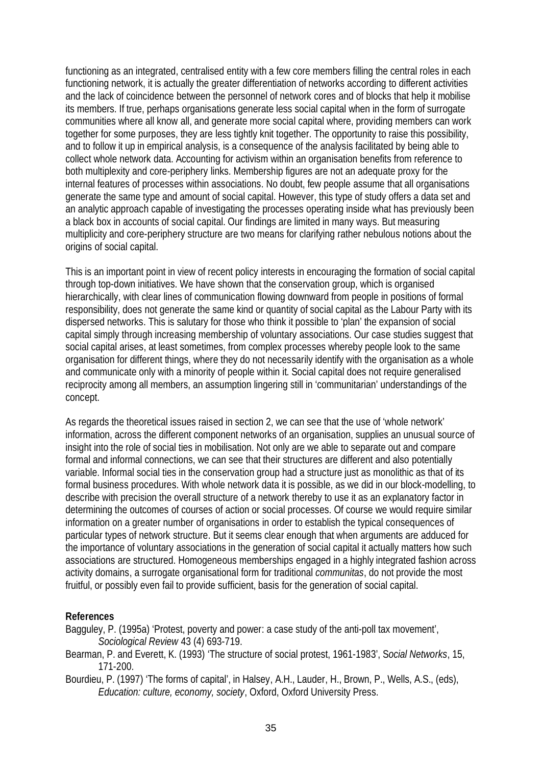functioning as an integrated, centralised entity with a few core members filling the central roles in each functioning network, it is actually the greater differentiation of networks according to different activities and the lack of coincidence between the personnel of network cores and of blocks that help it mobilise its members. If true, perhaps organisations generate less social capital when in the form of surrogate communities where all know all, and generate more social capital where, providing members can work together for some purposes, they are less tightly knit together. The opportunity to raise this possibility, and to follow it up in empirical analysis, is a consequence of the analysis facilitated by being able to collect whole network data. Accounting for activism within an organisation benefits from reference to both multiplexity and core-periphery links. Membership figures are not an adequate proxy for the internal features of processes within associations. No doubt, few people assume that all organisations generate the same type and amount of social capital. However, this type of study offers a data set and an analytic approach capable of investigating the processes operating inside what has previously been a black box in accounts of social capital. Our findings are limited in many ways. But measuring multiplicity and core-periphery structure are two means for clarifying rather nebulous notions about the origins of social capital.

This is an important point in view of recent policy interests in encouraging the formation of social capital through top-down initiatives. We have shown that the conservation group, which is organised hierarchically, with clear lines of communication flowing downward from people in positions of formal responsibility, does not generate the same kind or quantity of social capital as the Labour Party with its dispersed networks. This is salutary for those who think it possible to 'plan' the expansion of social capital simply through increasing membership of voluntary associations. Our case studies suggest that social capital arises, at least sometimes, from complex processes whereby people look to the same organisation for different things, where they do not necessarily identify with the organisation as a whole and communicate only with a minority of people within it. Social capital does not require generalised reciprocity among all members, an assumption lingering still in 'communitarian' understandings of the concept.

As regards the theoretical issues raised in section 2, we can see that the use of 'whole network' information, across the different component networks of an organisation, supplies an unusual source of insight into the role of social ties in mobilisation. Not only are we able to separate out and compare formal and informal connections, we can see that their structures are different and also potentially variable. Informal social ties in the conservation group had a structure just as monolithic as that of its formal business procedures. With whole network data it is possible, as we did in our block-modelling, to describe with precision the overall structure of a network thereby to use it as an explanatory factor in determining the outcomes of courses of action or social processes. Of course we would require similar information on a greater number of organisations in order to establish the typical consequences of particular types of network structure. But it seems clear enough that when arguments are adduced for the importance of voluntary associations in the generation of social capital it actually matters how such associations are structured. Homogeneous memberships engaged in a highly integrated fashion across activity domains, a surrogate organisational form for traditional *communitas*, do not provide the most fruitful, or possibly even fail to provide sufficient, basis for the generation of social capital.

#### **References**

- Bagguley, P. (1995a) 'Protest, poverty and power: a case study of the anti-poll tax movement', *Sociological Review* 43 (4) 693-719.
- Bearman, P. and Everett, K. (1993) 'The structure of social protest, 1961-1983', S*ocial Networks*, 15, 171-200.
- Bourdieu, P. (1997) 'The forms of capital', in Halsey, A.H., Lauder, H., Brown, P., Wells, A.S., (eds), *Education: culture, economy, society*, Oxford, Oxford University Press.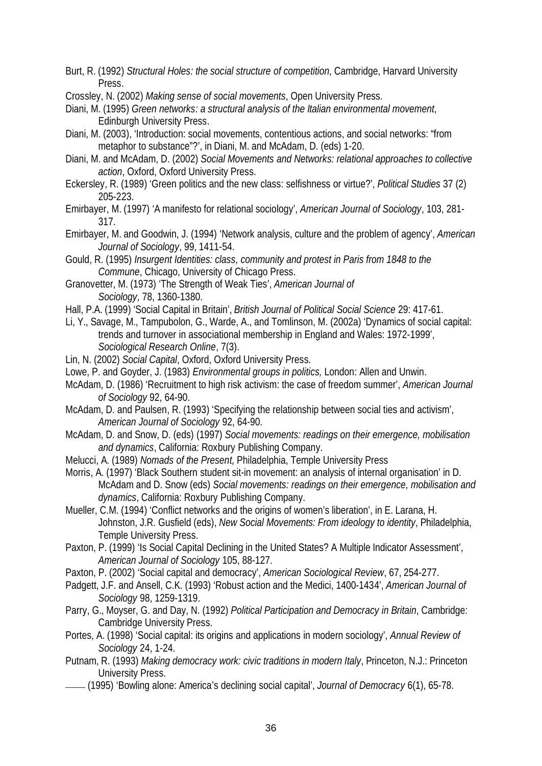- Burt, R. (1992) *Structural Holes: the social structure of competition*, Cambridge, Harvard University Press.
- Crossley, N. (2002) *Making sense of social movements*, Open University Press.
- Diani, M. (1995) *Green networks: a structural analysis of the Italian environmental movement*, Edinburgh University Press.
- Diani, M. (2003), 'Introduction: social movements, contentious actions, and social networks: "from metaphor to substance"?', in Diani, M. and McAdam, D. (eds) 1-20.
- Diani, M. and McAdam, D. (2002) *Social Movements and Networks: relational approaches to collective action*, Oxford, Oxford University Press.
- Eckersley, R. (1989) 'Green politics and the new class: selfishness or virtue?', *Political Studies* 37 (2) 205-223.
- Emirbayer, M. (1997) 'A manifesto for relational sociology', *American Journal of Sociology*, 103, 281- 317.
- Emirbayer, M. and Goodwin, J. (1994) 'Network analysis, culture and the problem of agency', *American Journal of Sociology*, 99, 1411-54.
- Gould, R. (1995) *Insurgent Identities: class, community and protest in Paris from 1848 to the Commune*, Chicago, University of Chicago Press.
- Granovetter, M. (1973) 'The Strength of Weak Ties', *American Journal of Sociology,* 78, 1360-1380.
- Hall, P.A. (1999) 'Social Capital in Britain', *British Journal of Political Social Science* 29: 417-61.
- Li, Y., Savage, M., Tampubolon, G., Warde, A., and Tomlinson, M. (2002a) 'Dynamics of social capital: trends and turnover in associational membership in England and Wales: 1972-1999', *Sociological Research Online*, 7(3).
- Lin, N. (2002) *Social Capital*, Oxford, Oxford University Press.
- Lowe, P. and Goyder, J. (1983) *Environmental groups in politics,* London: Allen and Unwin.
- McAdam, D. (1986) 'Recruitment to high risk activism: the case of freedom summer', *American Journal of Sociology* 92, 64-90.
- McAdam, D. and Paulsen, R. (1993) 'Specifying the relationship between social ties and activism', *American Journal of Sociology* 92, 64-90.
- McAdam, D. and Snow, D. (eds) (1997) *Social movements: readings on their emergence, mobilisation and dynamics*, California: Roxbury Publishing Company.
- Melucci, A. (1989) *Nomads of the Present,* Philadelphia, Temple University Press
- Morris, A. (1997) 'Black Southern student sit-in movement: an analysis of internal organisation' in D. McAdam and D. Snow (eds) *Social movements: readings on their emergence, mobilisation and dynamics*, California: Roxbury Publishing Company.
- Mueller, C.M. (1994) 'Conflict networks and the origins of women's liberation', in E. Larana, H. Johnston, J.R. Gusfield (eds), *New Social Movements: From ideology to identity*, Philadelphia, Temple University Press.
- Paxton, P. (1999) 'Is Social Capital Declining in the United States? A Multiple Indicator Assessment', *American Journal of Sociology* 105, 88-127.
- Paxton, P. (2002) 'Social capital and democracy', *American Sociological Review*, 67, 254-277.
- Padgett, J.F. and Ansell, C.K. (1993) 'Robust action and the Medici, 1400-1434', *American Journal of Sociology* 98, 1259-1319.
- Parry, G., Moyser, G. and Day, N. (1992) *Political Participation and Democracy in Britain*, Cambridge: Cambridge University Press.
- Portes, A. (1998) 'Social capital: its origins and applications in modern sociology', *Annual Review of Sociology* 24, 1-24.
- Putnam, R. (1993) *Making democracy work: civic traditions in modern Italy*, Princeton, N.J.: Princeton University Press.
- \_\_\_\_\_\_ (1995) 'Bowling alone: America's declining social capital', *Journal of Democracy* 6(1), 65-78.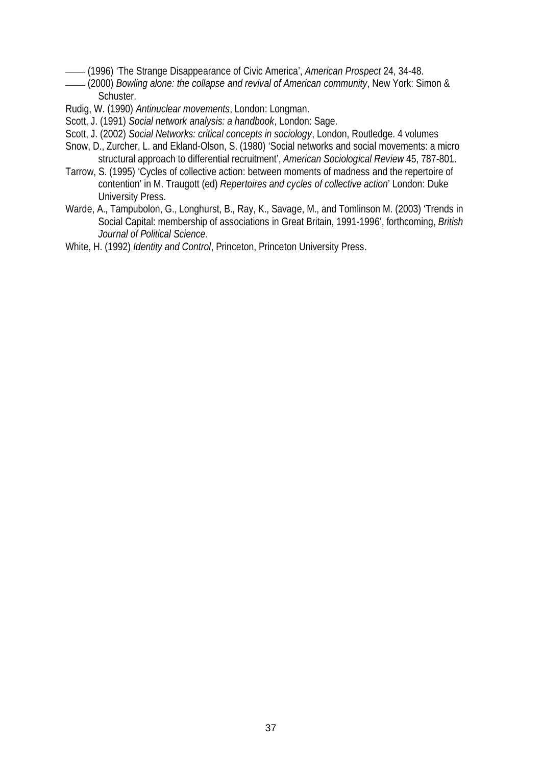- 
- \_\_\_\_\_\_ (1996) 'The Strange Disappearance of Civic America', *American Prospect* 24, 34-48. \_\_\_\_\_\_ (2000) *Bowling alone: the collapse and revival of American community*, New York: Simon & Schuster.
- Rudig, W. (1990) *Antinuclear movements*, London: Longman.
- Scott, J. (1991) *Social network analysis: a handbook*, London: Sage.
- Scott, J. (2002) *Social Networks: critical concepts in sociology*, London, Routledge. 4 volumes
- Snow, D., Zurcher, L. and Ekland-Olson, S. (1980) 'Social networks and social movements: a micro structural approach to differential recruitment', *American Sociological Review* 45, 787-801.
- Tarrow, S. (1995) 'Cycles of collective action: between moments of madness and the repertoire of contention' in M. Traugott (ed) *Repertoires and cycles of collective action*' London: Duke University Press.
- Warde, A., Tampubolon, G., Longhurst, B., Ray, K., Savage, M., and Tomlinson M. (2003) 'Trends in Social Capital: membership of associations in Great Britain, 1991-1996', forthcoming, *British Journal of Political Science*.
- White, H. (1992) *Identity and Control*, Princeton, Princeton University Press.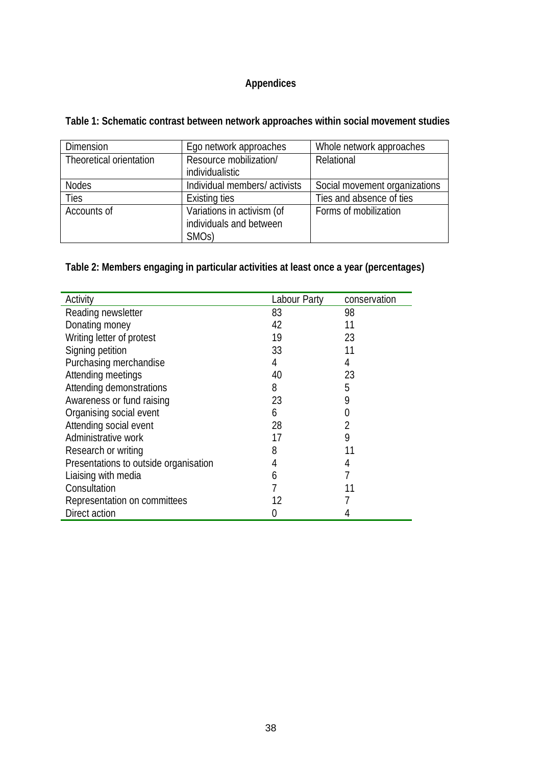# **Appendices**

**Table 1: Schematic contrast between network approaches within social movement studies**

| <b>Dimension</b>        | Ego network approaches       | Whole network approaches      |
|-------------------------|------------------------------|-------------------------------|
| Theoretical orientation | Resource mobilization/       | Relational                    |
|                         | individualistic              |                               |
| <b>Nodes</b>            | Individual members/activists | Social movement organizations |
| <b>Ties</b>             | Existing ties                | Ties and absence of ties      |
| Accounts of             | Variations in activism (of   | Forms of mobilization         |
|                         | individuals and between      |                               |
|                         | SMO <sub>s</sub> )           |                               |

**Table 2: Members engaging in particular activities at least once a year (percentages)**

| Activity                              | Labour Party | conservation |
|---------------------------------------|--------------|--------------|
| Reading newsletter                    | 83           | 98           |
| Donating money                        | 42           | 11           |
| Writing letter of protest             | 19           | 23           |
| Signing petition                      | 33           | 11           |
| Purchasing merchandise                | 4            | 4            |
| Attending meetings                    | 40           | 23           |
| Attending demonstrations              | 8            | 5            |
| Awareness or fund raising             | 23           | 9            |
| Organising social event               | 6            | 0            |
| Attending social event                | 28           | 2            |
| Administrative work                   | 17           | 9            |
| Research or writing                   | 8            | 11           |
| Presentations to outside organisation | 4            | 4            |
| Liaising with media                   | 6            |              |
| Consultation                          |              |              |
| Representation on committees          | 12           |              |
| Direct action                         |              |              |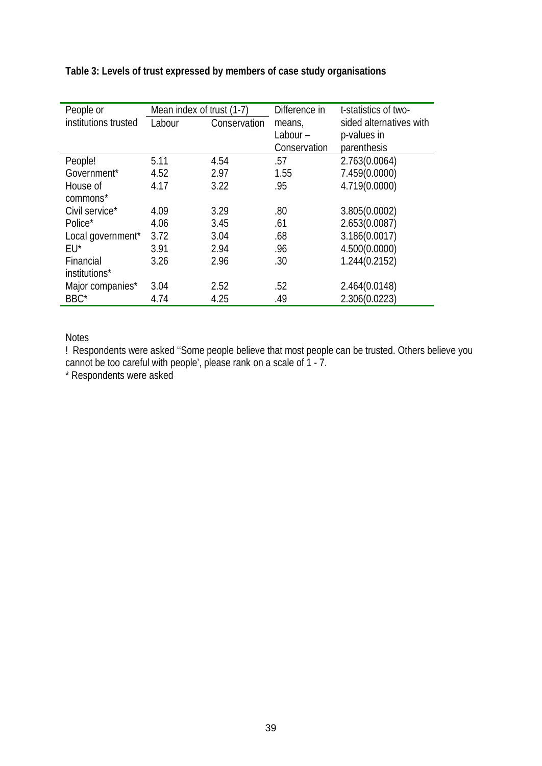| People or            | Mean index of trust (1-7) |              | Difference in | t-statistics of two-    |
|----------------------|---------------------------|--------------|---------------|-------------------------|
| institutions trusted | Labour                    | Conservation | means,        | sided alternatives with |
|                      |                           |              | Labour-       | p-values in             |
|                      |                           |              | Conservation  | parenthesis             |
| People!              | 5.11                      | 4.54         | .57           | 2.763(0.0064)           |
| Government*          | 4.52                      | 2.97         | 1.55          | 7.459(0.0000)           |
| House of             | 4.17                      | 3.22         | .95           | 4.719(0.0000)           |
| commons*             |                           |              |               |                         |
| Civil service*       | 4.09                      | 3.29         | .80           | 3.805(0.0002)           |
| Police*              | 4.06                      | 3.45         | .61           | 2.653(0.0087)           |
| Local government*    | 3.72                      | 3.04         | .68           | 3.186(0.0017)           |
| $EU^*$               | 3.91                      | 2.94         | .96           | 4.500(0.0000)           |
| Financial            | 3.26                      | 2.96         | .30           | 1.244(0.2152)           |
| institutions*        |                           |              |               |                         |
| Major companies*     | 3.04                      | 2.52         | .52           | 2.464(0.0148)           |
| BBC*                 | 4.74                      | 4.25         | .49           | 2.306(0.0223)           |

**Table 3: Levels of trust expressed by members of case study organisations** 

Notes

! Respondents were asked ''Some people believe that most people can be trusted. Others believe you cannot be too careful with people', please rank on a scale of 1 - 7.

\* Respondents were asked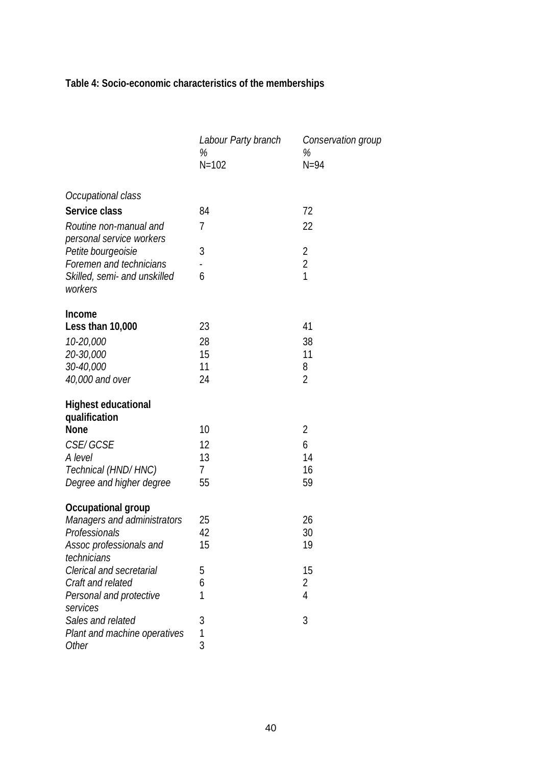**Table 4: Socio-economic characteristics of the memberships**

|                                                    | Labour Party branch<br>%<br>$N = 102$ | Conservation group<br>%<br>$N=94$ |
|----------------------------------------------------|---------------------------------------|-----------------------------------|
| Occupational class                                 |                                       |                                   |
| Service class                                      | 84                                    | 72                                |
| Routine non-manual and<br>personal service workers | 7                                     | 22                                |
| Petite bourgeoisie                                 | 3                                     | 2                                 |
| Foremen and technicians                            |                                       | $\overline{2}$                    |
| Skilled, semi- and unskilled<br>workers            | 6                                     | 1                                 |
| Income                                             |                                       |                                   |
| Less than 10,000                                   | 23                                    | 41                                |
| 10-20,000                                          | 28                                    | 38                                |
| 20-30,000                                          | 15                                    | 11                                |
| 30-40,000                                          | 11                                    | 8                                 |
| 40,000 and over                                    | 24                                    | $\overline{2}$                    |
| <b>Highest educational</b>                         |                                       |                                   |
| qualification                                      |                                       |                                   |
| <b>None</b>                                        | 10                                    | $\overline{2}$                    |
| <b>CSE/GCSE</b>                                    | 12                                    | 6                                 |
| A level                                            | 13                                    | 14                                |
| Technical (HND/HNC)                                | 7                                     | 16                                |
| Degree and higher degree                           | 55                                    | 59                                |
| Occupational group                                 |                                       |                                   |
| Managers and administrators                        | 25                                    | 26                                |
| Professionals                                      | 42                                    | 30                                |
| Assoc professionals and<br>technicians             | 15                                    | 19                                |
| Clerical and secretarial                           | 5                                     | 15                                |
| Craft and related                                  | 6                                     | 2                                 |
| Personal and protective<br>services                | 1                                     | $\overline{4}$                    |
| Sales and related                                  | 3                                     | 3                                 |
| Plant and machine operatives                       | 1                                     |                                   |
| Other                                              | 3                                     |                                   |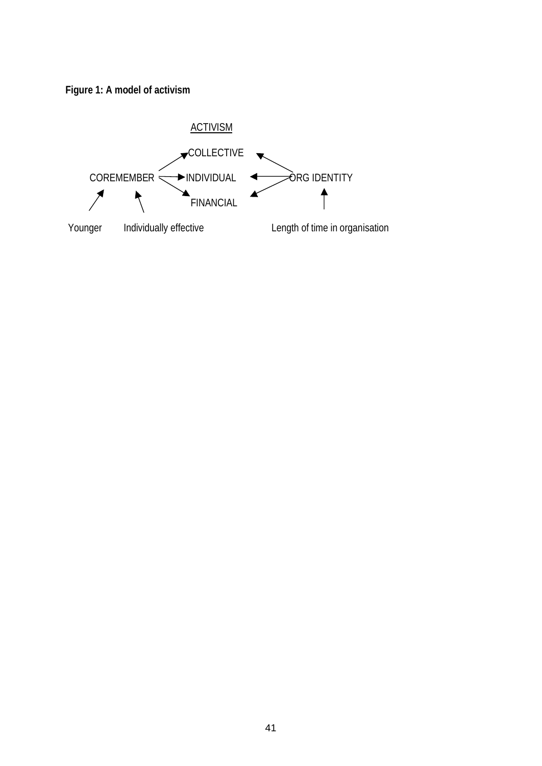

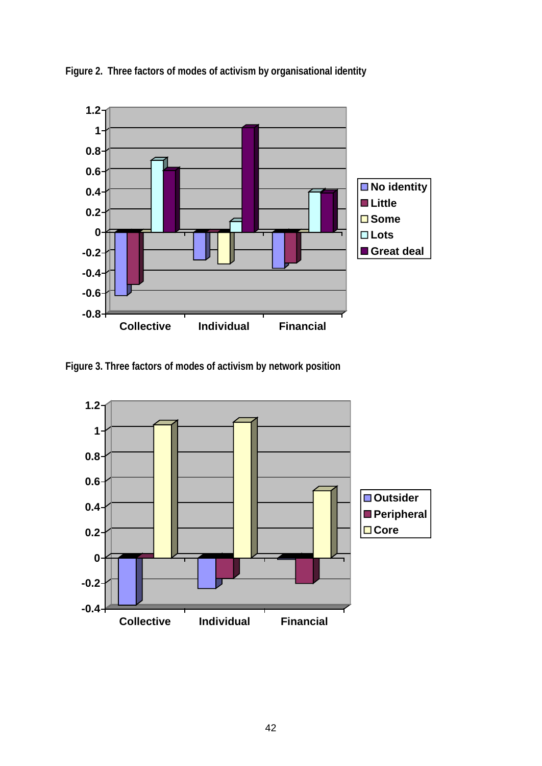

**Figure 2. Three factors of modes of activism by organisational identity** 

**Figure 3. Three factors of modes of activism by network position**

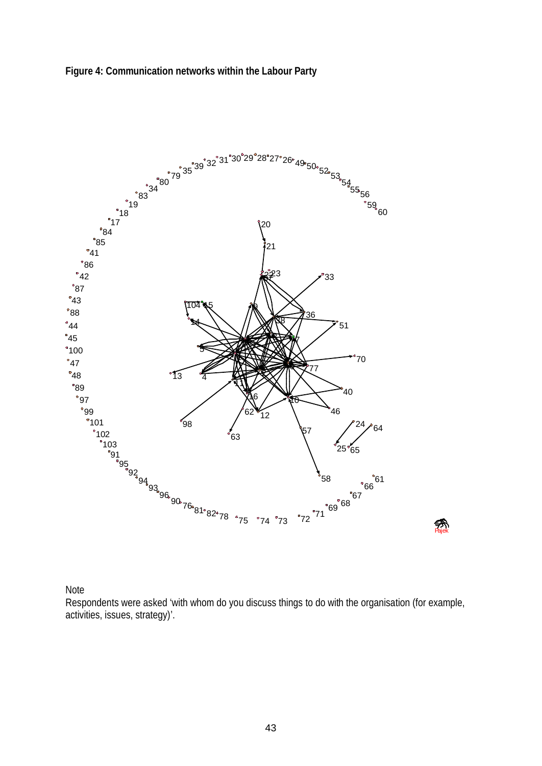



Note

Respondents were asked 'with whom do you discuss things to do with the organisation (for example, activities, issues, strategy)'.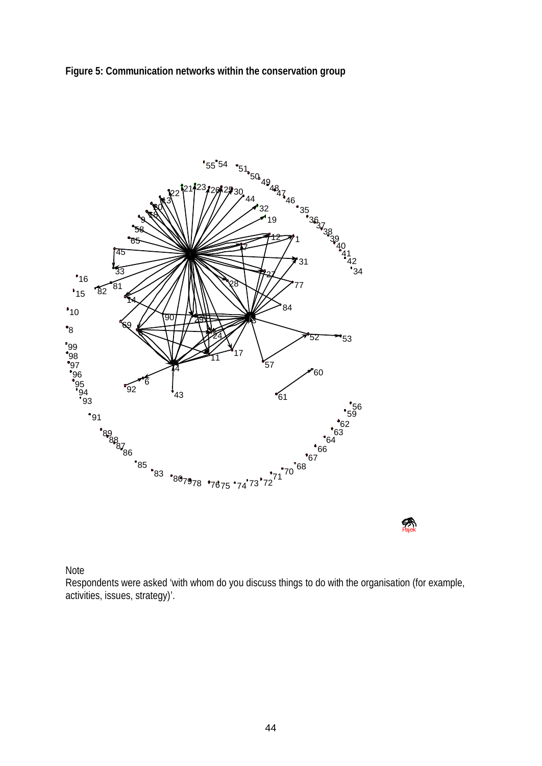



**Pajek** 

#### Note

Respondents were asked 'with whom do you discuss things to do with the organisation (for example, activities, issues, strategy)'.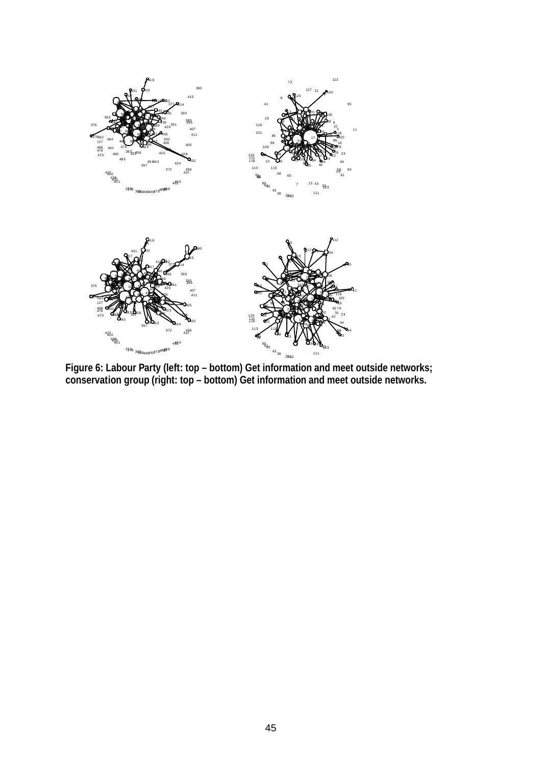

**Figure 6: Labour Party (left: top – bottom) Get information and meet outside networks; conservation group (right: top – bottom) Get information and meet outside networks.**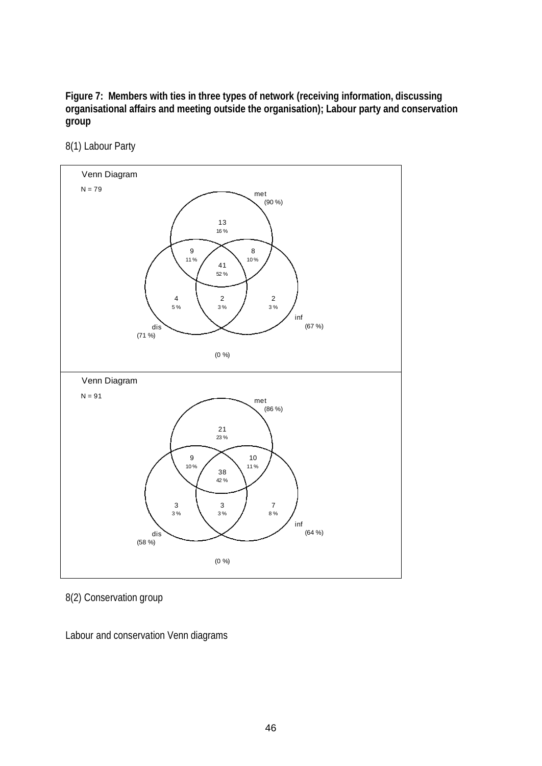**Figure 7: Members with ties in three types of network (receiving information, discussing organisational affairs and meeting outside the organisation); Labour party and conservation group**

8(1) Labour Party



8(2) Conservation group

Labour and conservation Venn diagrams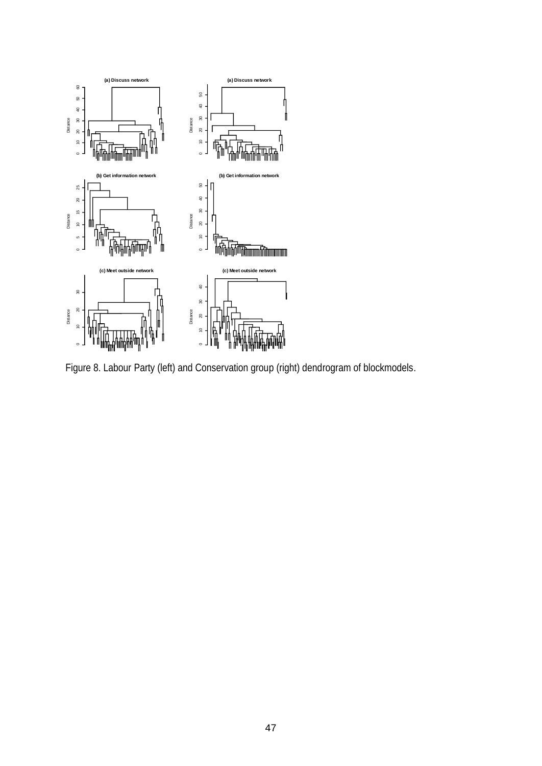

Figure 8. Labour Party (left) and Conservation group (right) dendrogram of blockmodels.